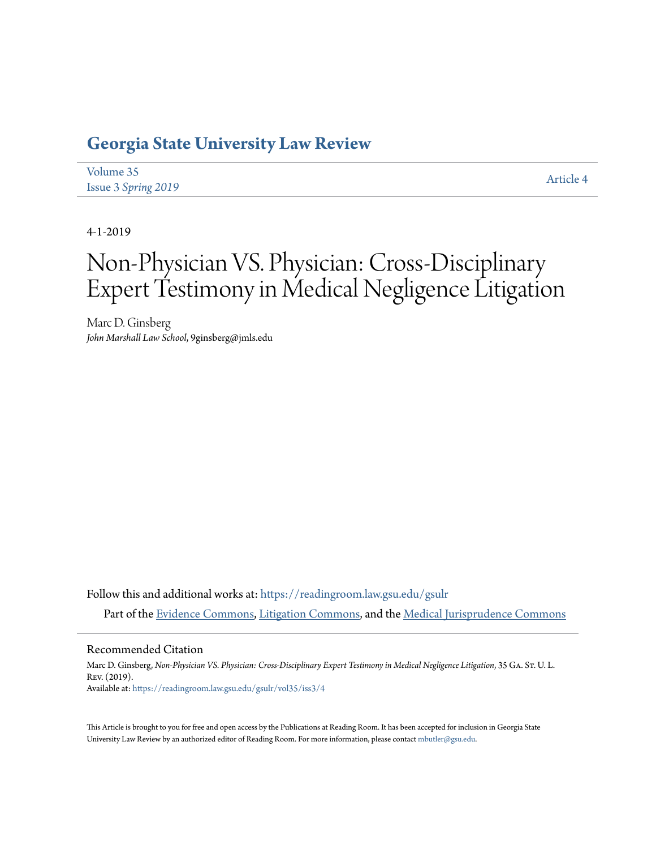# **[Georgia State University Law Review](https://readingroom.law.gsu.edu/gsulr?utm_source=readingroom.law.gsu.edu%2Fgsulr%2Fvol35%2Fiss3%2F4&utm_medium=PDF&utm_campaign=PDFCoverPages)**

| Volume 35                  | Article 4 |
|----------------------------|-----------|
| <b>Issue 3 Spring 2019</b> |           |

4-1-2019

# Non-Physician VS. Physician: Cross-Disciplinary Expert Testimony in Medical Negligence Litigation

Marc D. Ginsberg *John Marshall Law School*, 9ginsberg@jmls.edu

Follow this and additional works at: [https://readingroom.law.gsu.edu/gsulr](https://readingroom.law.gsu.edu/gsulr?utm_source=readingroom.law.gsu.edu%2Fgsulr%2Fvol35%2Fiss3%2F4&utm_medium=PDF&utm_campaign=PDFCoverPages) Part of the [Evidence Commons](http://network.bepress.com/hgg/discipline/601?utm_source=readingroom.law.gsu.edu%2Fgsulr%2Fvol35%2Fiss3%2F4&utm_medium=PDF&utm_campaign=PDFCoverPages), [Litigation Commons](http://network.bepress.com/hgg/discipline/910?utm_source=readingroom.law.gsu.edu%2Fgsulr%2Fvol35%2Fiss3%2F4&utm_medium=PDF&utm_campaign=PDFCoverPages), and the [Medical Jurisprudence Commons](http://network.bepress.com/hgg/discipline/860?utm_source=readingroom.law.gsu.edu%2Fgsulr%2Fvol35%2Fiss3%2F4&utm_medium=PDF&utm_campaign=PDFCoverPages)

#### Recommended Citation

Marc D. Ginsberg, *Non-Physician VS. Physician: Cross-Disciplinary Expert Testimony in Medical Negligence Litigation*, 35 GA. ST. U. L. Rev. (2019). Available at: [https://readingroom.law.gsu.edu/gsulr/vol35/iss3/4](https://readingroom.law.gsu.edu/gsulr/vol35/iss3/4?utm_source=readingroom.law.gsu.edu%2Fgsulr%2Fvol35%2Fiss3%2F4&utm_medium=PDF&utm_campaign=PDFCoverPages)

This Article is brought to you for free and open access by the Publications at Reading Room. It has been accepted for inclusion in Georgia State University Law Review by an authorized editor of Reading Room. For more information, please contact [mbutler@gsu.edu.](mailto:mbutler@gsu.edu)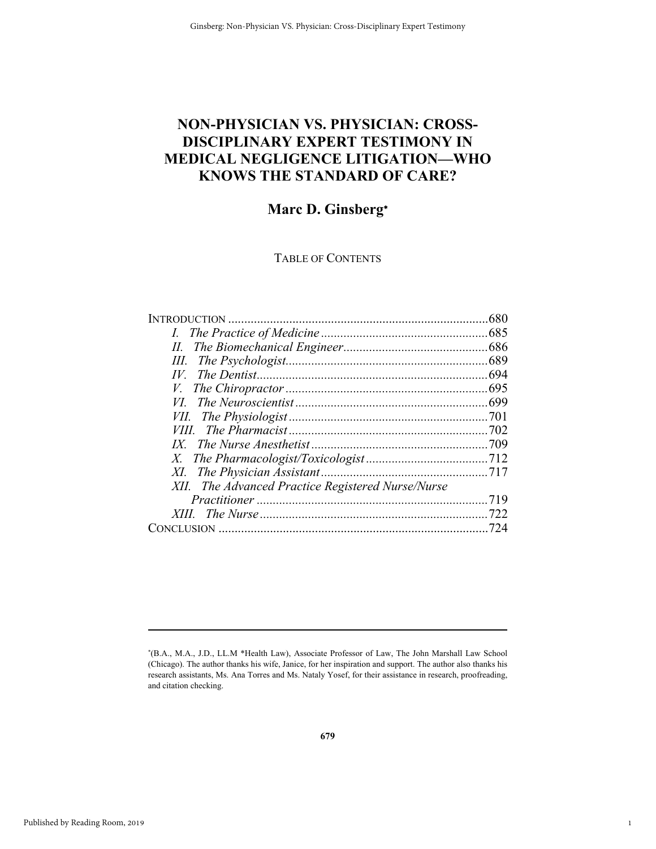# **NON-PHYSICIAN VS. PHYSICIAN: CROSS-DISCIPLINARY EXPERT TESTIMONY IN MEDICAL NEGLIGENCE LITIGATION—WHO KNOWS THE STANDARD OF CARE?**

## **Marc D. Ginsberg**

### TABLE OF CONTENTS

| XII. The Advanced Practice Registered Nurse/Nurse |  |
|---------------------------------------------------|--|
|                                                   |  |
|                                                   |  |
|                                                   |  |
|                                                   |  |

1

1

(B.A., M.A., J.D., LL.M \*Health Law), Associate Professor of Law, The John Marshall Law School (Chicago). The author thanks his wife, Janice, for her inspiration and support. The author also thanks his research assistants, Ms. Ana Torres and Ms. Nataly Yosef, for their assistance in research, proofreading, and citation checking.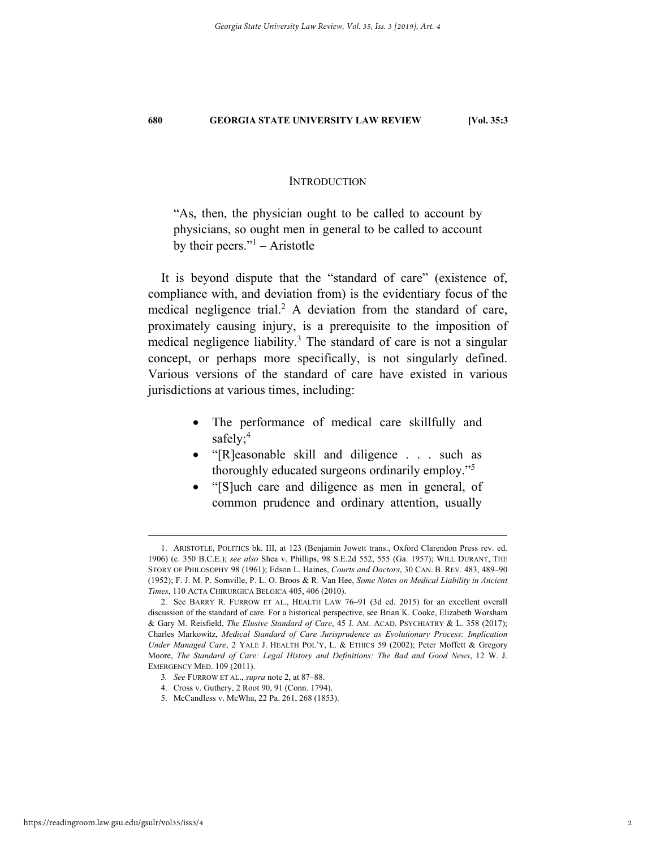#### **INTRODUCTION**

"As, then, the physician ought to be called to account by physicians, so ought men in general to be called to account by their peers." $1 -$ Aristotle

It is beyond dispute that the "standard of care" (existence of, compliance with, and deviation from) is the evidentiary focus of the medical negligence trial.<sup>2</sup> A deviation from the standard of care, proximately causing injury, is a prerequisite to the imposition of medical negligence liability.<sup>3</sup> The standard of care is not a singular concept, or perhaps more specifically, is not singularly defined. Various versions of the standard of care have existed in various jurisdictions at various times, including:

- The performance of medical care skillfully and safely;<sup>4</sup>
- "[R]easonable skill and diligence . . . such as thoroughly educated surgeons ordinarily employ."5
- "[S]uch care and diligence as men in general, of common prudence and ordinary attention, usually

 <sup>1.</sup> ARISTOTLE, POLITICS bk. III, at 123 (Benjamin Jowett trans., Oxford Clarendon Press rev. ed. 1906) (c. 350 B.C.E.); *see also* Shea v. Phillips, 98 S.E.2d 552, 555 (Ga. 1957); WILL DURANT, THE STORY OF PHILOSOPHY 98 (1961); Edson L. Haines, *Courts and Doctors*, 30 CAN. B. REV. 483, 489–90 (1952); F. J. M. P. Somville, P. L. O. Broos & R. Van Hee, *Some Notes on Medical Liability in Ancient Times*, 110 ACTA CHIRURGICA BELGICA 405, 406 (2010).

 <sup>2.</sup> See BARRY R. FURROW ET AL., HEALTH LAW 76–91 (3d ed. 2015) for an excellent overall discussion of the standard of care. For a historical perspective, see Brian K. Cooke, Elizabeth Worsham & Gary M. Reisfield, *The Elusive Standard of Care*, 45 J. AM. ACAD. PSYCHIATRY & L. 358 (2017); Charles Markowitz, *Medical Standard of Care Jurisprudence as Evolutionary Process: Implication Under Managed Care*, 2 YALE J. HEALTH POL'Y, L. & ETHICS 59 (2002); Peter Moffett & Gregory Moore, *The Standard of Care: Legal History and Definitions: The Bad and Good News*, 12 W. J. EMERGENCY MED. 109 (2011).

<sup>3</sup>*. See* FURROW ET AL., *supra* note 2, at 87–88.

 <sup>4.</sup> Cross v. Guthery, 2 Root 90, 91 (Conn. 1794).

 <sup>5.</sup> McCandless v. McWha, 22 Pa. 261, 268 (1853).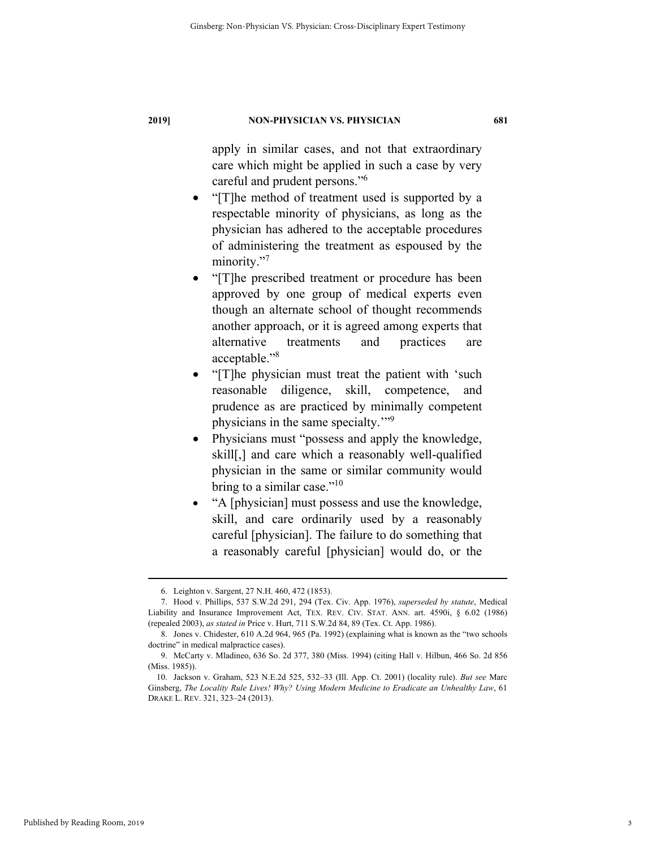apply in similar cases, and not that extraordinary care which might be applied in such a case by very careful and prudent persons."<sup>6</sup>

- "[T]he method of treatment used is supported by a respectable minority of physicians, as long as the physician has adhered to the acceptable procedures of administering the treatment as espoused by the minority."<sup>7</sup>
- "[T]he prescribed treatment or procedure has been approved by one group of medical experts even though an alternate school of thought recommends another approach, or it is agreed among experts that alternative treatments and practices are acceptable."8
- "[T]he physician must treat the patient with 'such reasonable diligence, skill, competence, and prudence as are practiced by minimally competent physicians in the same specialty."<sup>9</sup>
- Physicians must "possess and apply the knowledge, skill[,] and care which a reasonably well-qualified physician in the same or similar community would bring to a similar case." $10$
- "A [physician] must possess and use the knowledge, skill, and care ordinarily used by a reasonably careful [physician]. The failure to do something that a reasonably careful [physician] would do, or the

 <sup>6.</sup> Leighton v. Sargent, 27 N.H. 460, 472 (1853).

 <sup>7.</sup> Hood v. Phillips, 537 S.W.2d 291, 294 (Tex. Civ. App. 1976), *superseded by statute*, Medical Liability and Insurance Improvement Act, TEX. REV. CIV. STAT. ANN. art. 4590i, § 6.02 (1986) (repealed 2003), *as stated in* Price v. Hurt, 711 S.W.2d 84, 89 (Tex. Ct. App. 1986).

 <sup>8.</sup> Jones v. Chidester, 610 A.2d 964, 965 (Pa. 1992) (explaining what is known as the "two schools doctrine" in medical malpractice cases).

 <sup>9.</sup> McCarty v. Mladineo, 636 So. 2d 377, 380 (Miss. 1994) (citing Hall v. Hilbun, 466 So. 2d 856 (Miss. 1985)).

 <sup>10.</sup> Jackson v. Graham, 523 N.E.2d 525, 532–33 (Ill. App. Ct. 2001) (locality rule). *But see* Marc Ginsberg, *The Locality Rule Lives! Why? Using Modern Medicine to Eradicate an Unhealthy Law*, 61 DRAKE L. REV. 321, 323–24 (2013).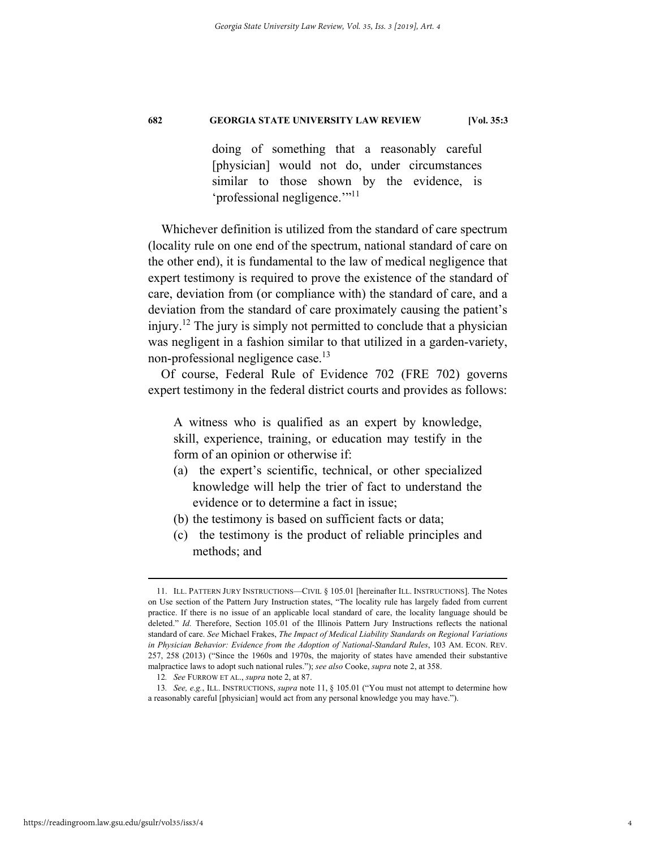doing of something that a reasonably careful [physician] would not do, under circumstances similar to those shown by the evidence, is 'professional negligence."<sup>11</sup>

Whichever definition is utilized from the standard of care spectrum (locality rule on one end of the spectrum, national standard of care on the other end), it is fundamental to the law of medical negligence that expert testimony is required to prove the existence of the standard of care, deviation from (or compliance with) the standard of care, and a deviation from the standard of care proximately causing the patient's injury.12 The jury is simply not permitted to conclude that a physician was negligent in a fashion similar to that utilized in a garden-variety, non-professional negligence case.<sup>13</sup>

Of course, Federal Rule of Evidence 702 (FRE 702) governs expert testimony in the federal district courts and provides as follows:

A witness who is qualified as an expert by knowledge, skill, experience, training, or education may testify in the form of an opinion or otherwise if:

- (a) the expert's scientific, technical, or other specialized knowledge will help the trier of fact to understand the evidence or to determine a fact in issue;
- (b) the testimony is based on sufficient facts or data;
- (c) the testimony is the product of reliable principles and methods; and

 <sup>11.</sup> ILL. PATTERN JURY INSTRUCTIONS—CIVIL § 105.01 [hereinafter ILL. INSTRUCTIONS]. The Notes on Use section of the Pattern Jury Instruction states, "The locality rule has largely faded from current practice. If there is no issue of an applicable local standard of care, the locality language should be deleted." *Id.* Therefore, Section 105.01 of the Illinois Pattern Jury Instructions reflects the national standard of care. *See* Michael Frakes, *The Impact of Medical Liability Standards on Regional Variations in Physician Behavior: Evidence from the Adoption of National-Standard Rules*, 103 AM. ECON. REV. 257, 258 (2013) ("Since the 1960s and 1970s, the majority of states have amended their substantive malpractice laws to adopt such national rules."); *see also* Cooke, *supra* note 2, at 358.

<sup>12</sup>*. See* FURROW ET AL., *supra* note 2, at 87.

<sup>13</sup>*. See, e.g.*, ILL. INSTRUCTIONS, *supra* note 11, § 105.01 ("You must not attempt to determine how a reasonably careful [physician] would act from any personal knowledge you may have.").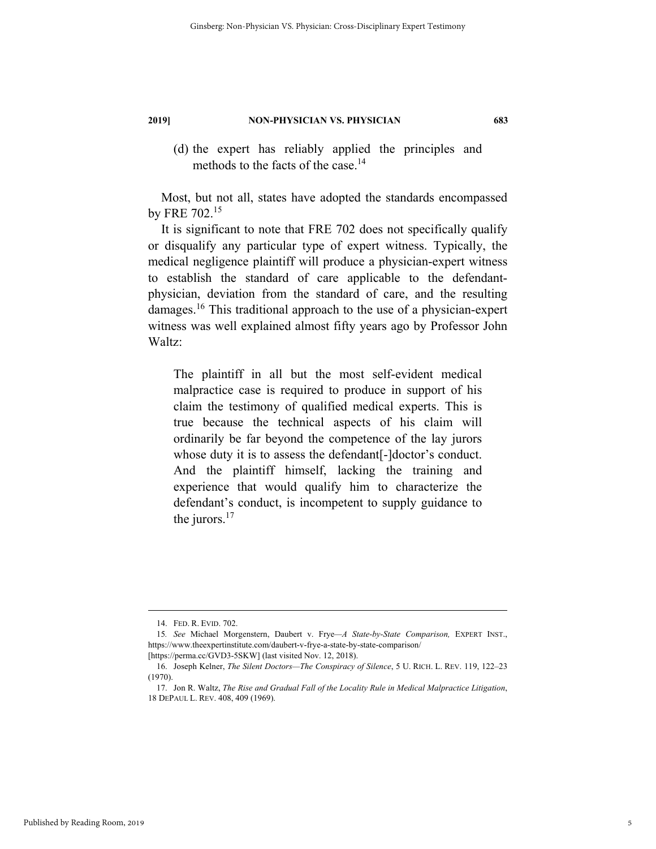- 
- (d) the expert has reliably applied the principles and methods to the facts of the case.<sup>14</sup>

Most, but not all, states have adopted the standards encompassed by FRE 702.15

It is significant to note that FRE 702 does not specifically qualify or disqualify any particular type of expert witness. Typically, the medical negligence plaintiff will produce a physician-expert witness to establish the standard of care applicable to the defendantphysician, deviation from the standard of care, and the resulting damages.16 This traditional approach to the use of a physician-expert witness was well explained almost fifty years ago by Professor John Waltz:

The plaintiff in all but the most self-evident medical malpractice case is required to produce in support of his claim the testimony of qualified medical experts. This is true because the technical aspects of his claim will ordinarily be far beyond the competence of the lay jurors whose duty it is to assess the defendant<sup>[-1</sup>doctor's conduct. And the plaintiff himself, lacking the training and experience that would qualify him to characterize the defendant's conduct, is incompetent to supply guidance to the jurors.<sup>17</sup>

 <sup>14.</sup> FED. R. EVID. 702.

<sup>15</sup>*. See* Michael Morgenstern, Daubert v. Frye*—A State-by-State Comparison,* EXPERT INST., https://www.theexpertinstitute.com/daubert-v-frye-a-state-by-state-comparison/

<sup>[</sup>https://perma.cc/GVD3-5SKW] (last visited Nov. 12, 2018).

 <sup>16.</sup> Joseph Kelner, *The Silent Doctors—The Conspiracy of Silence*, 5 U. RICH. L. REV. 119, 122–23 (1970).

 <sup>17.</sup> Jon R. Waltz, *The Rise and Gradual Fall of the Locality Rule in Medical Malpractice Litigation*, 18 DEPAUL L. REV. 408, 409 (1969).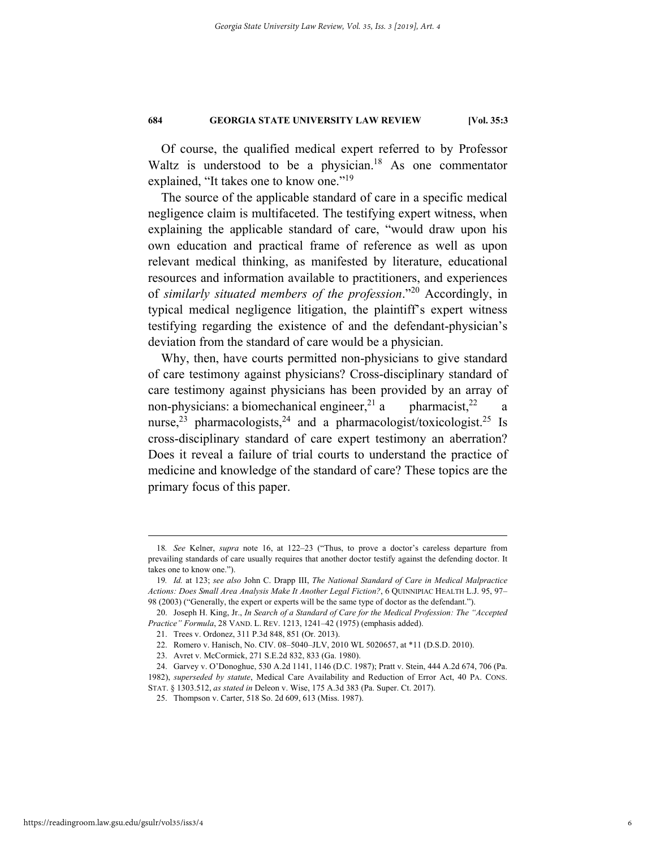Of course, the qualified medical expert referred to by Professor Waltz is understood to be a physician.<sup>18</sup> As one commentator explained, "It takes one to know one."<sup>19</sup>

The source of the applicable standard of care in a specific medical negligence claim is multifaceted. The testifying expert witness, when explaining the applicable standard of care, "would draw upon his own education and practical frame of reference as well as upon relevant medical thinking, as manifested by literature, educational resources and information available to practitioners, and experiences of *similarly situated members of the profession*."20 Accordingly, in typical medical negligence litigation, the plaintiff's expert witness testifying regarding the existence of and the defendant-physician's deviation from the standard of care would be a physician.

Why, then, have courts permitted non-physicians to give standard of care testimony against physicians? Cross-disciplinary standard of care testimony against physicians has been provided by an array of non-physicians: a biomechanical engineer,<sup>21</sup> a pharmacist,<sup>22</sup> a nurse,<sup>23</sup> pharmacologists,<sup>24</sup> and a pharmacologist/toxicologist.<sup>25</sup> Is cross-disciplinary standard of care expert testimony an aberration? Does it reveal a failure of trial courts to understand the practice of medicine and knowledge of the standard of care? These topics are the primary focus of this paper.

 <sup>18</sup>*. See* Kelner, *supra* note 16, at 122–23 ("Thus, to prove a doctor's careless departure from prevailing standards of care usually requires that another doctor testify against the defending doctor. It takes one to know one.").

<sup>19</sup>*. Id.* at 123; *see also* John C. Drapp III, *The National Standard of Care in Medical Malpractice Actions: Does Small Area Analysis Make It Another Legal Fiction?*, 6 QUINNIPIAC HEALTH L.J. 95, 97– 98 (2003) ("Generally, the expert or experts will be the same type of doctor as the defendant.").

 <sup>20.</sup> Joseph H. King, Jr., *In Search of a Standard of Care for the Medical Profession: The "Accepted Practice" Formula*, 28 VAND. L. REV. 1213, 1241–42 (1975) (emphasis added).

 <sup>21.</sup> Trees v. Ordonez, 311 P.3d 848, 851 (Or. 2013).

 <sup>22.</sup> Romero v. Hanisch, No. CIV. 08–5040–JLV, 2010 WL 5020657, at \*11 (D.S.D. 2010).

 <sup>23.</sup> Avret v. McCormick, 271 S.E.2d 832, 833 (Ga. 1980).

 <sup>24.</sup> Garvey v. O'Donoghue, 530 A.2d 1141, 1146 (D.C. 1987); Pratt v. Stein, 444 A.2d 674, 706 (Pa.

<sup>1982),</sup> *superseded by statute*, Medical Care Availability and Reduction of Error Act, 40 PA. CONS.

STAT. § 1303.512, *as stated in* Deleon v. Wise, 175 A.3d 383 (Pa. Super. Ct. 2017). 25. Thompson v. Carter, 518 So. 2d 609, 613 (Miss. 1987).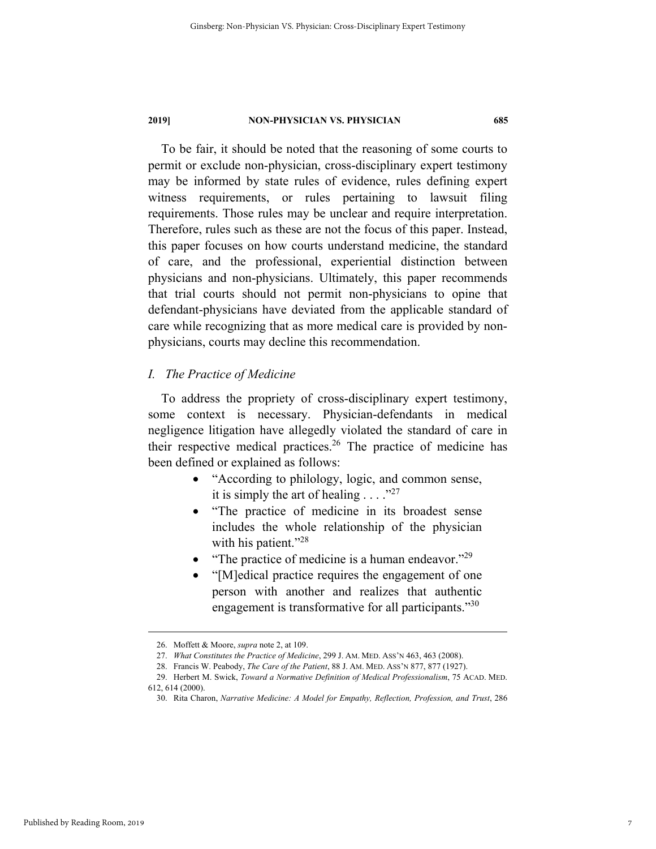To be fair, it should be noted that the reasoning of some courts to permit or exclude non-physician, cross-disciplinary expert testimony may be informed by state rules of evidence, rules defining expert witness requirements, or rules pertaining to lawsuit filing requirements. Those rules may be unclear and require interpretation. Therefore, rules such as these are not the focus of this paper. Instead, this paper focuses on how courts understand medicine, the standard of care, and the professional, experiential distinction between physicians and non-physicians. Ultimately, this paper recommends that trial courts should not permit non-physicians to opine that defendant-physicians have deviated from the applicable standard of care while recognizing that as more medical care is provided by nonphysicians, courts may decline this recommendation.

#### *I. The Practice of Medicine*

To address the propriety of cross-disciplinary expert testimony, some context is necessary. Physician-defendants in medical negligence litigation have allegedly violated the standard of care in their respective medical practices.<sup>26</sup> The practice of medicine has been defined or explained as follows:

- "According to philology, logic, and common sense, it is simply the art of healing  $\ldots$ ."<sup>27</sup>
- "The practice of medicine in its broadest sense includes the whole relationship of the physician with his patient."<sup>28</sup>
- "The practice of medicine is a human endeavor."<sup>29</sup>
- "[M]edical practice requires the engagement of one person with another and realizes that authentic engagement is transformative for all participants."<sup>30</sup>

 <sup>26.</sup> Moffett & Moore, *supra* note 2, at 109.

 <sup>27.</sup> *What Constitutes the Practice of Medicine*, 299 J. AM. MED. ASS'N 463, 463 (2008).

 <sup>28.</sup> Francis W. Peabody, *The Care of the Patient*, 88 J. AM. MED. ASS'N 877, 877 (1927).

 <sup>29.</sup> Herbert M. Swick, *Toward a Normative Definition of Medical Professionalism*, 75 ACAD. MED. 612, 614 (2000).

 <sup>30.</sup> Rita Charon, *Narrative Medicine: A Model for Empathy, Reflection, Profession, and Trust*, 286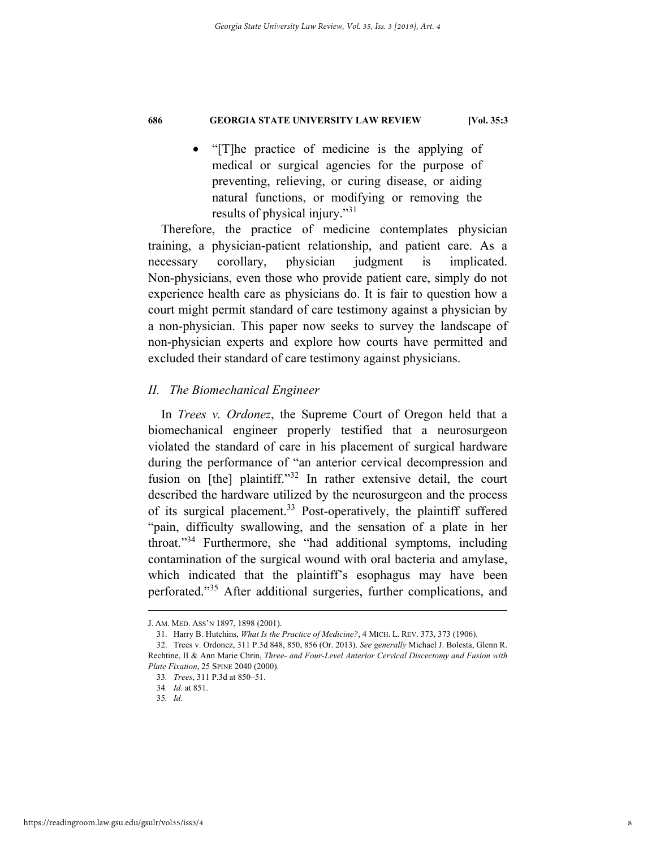• "[T]he practice of medicine is the applying of medical or surgical agencies for the purpose of preventing, relieving, or curing disease, or aiding natural functions, or modifying or removing the results of physical injury."<sup>31</sup>

Therefore, the practice of medicine contemplates physician training, a physician-patient relationship, and patient care. As a necessary corollary, physician judgment is implicated. Non-physicians, even those who provide patient care, simply do not experience health care as physicians do. It is fair to question how a court might permit standard of care testimony against a physician by a non-physician. This paper now seeks to survey the landscape of non-physician experts and explore how courts have permitted and excluded their standard of care testimony against physicians.

#### *II. The Biomechanical Engineer*

In *Trees v. Ordonez*, the Supreme Court of Oregon held that a biomechanical engineer properly testified that a neurosurgeon violated the standard of care in his placement of surgical hardware during the performance of "an anterior cervical decompression and fusion on [the] plaintiff."<sup>32</sup> In rather extensive detail, the court described the hardware utilized by the neurosurgeon and the process of its surgical placement.33 Post-operatively, the plaintiff suffered "pain, difficulty swallowing, and the sensation of a plate in her throat."34 Furthermore, she "had additional symptoms, including contamination of the surgical wound with oral bacteria and amylase, which indicated that the plaintiff's esophagus may have been perforated."35 After additional surgeries, further complications, and

J. AM. MED. ASS'N 1897, 1898 (2001).

 <sup>31.</sup> Harry B. Hutchins, *What Is the Practice of Medicine?*, 4 MICH. L. REV. 373, 373 (1906).

 <sup>32.</sup> Trees v. Ordonez, 311 P.3d 848, 850, 856 (Or. 2013). *See generally* Michael J. Bolesta, Glenn R. Rechtine, II & Ann Marie Chrin, *Three- and Four-Level Anterior Cervical Discectomy and Fusion with Plate Fixation*, 25 SPINE 2040 (2000).

<sup>33</sup>*. Trees*, 311 P.3d at 850–51.

<sup>34</sup>*. Id*. at 851.

<sup>35</sup>*. Id.*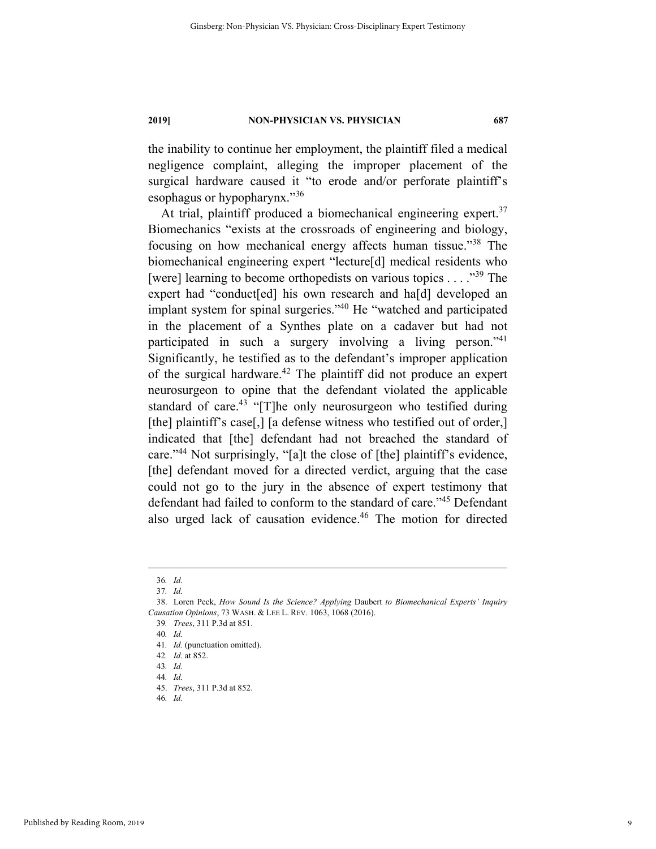the inability to continue her employment, the plaintiff filed a medical negligence complaint, alleging the improper placement of the surgical hardware caused it "to erode and/or perforate plaintiff's esophagus or hypopharynx."36

At trial, plaintiff produced a biomechanical engineering expert.<sup>37</sup> Biomechanics "exists at the crossroads of engineering and biology, focusing on how mechanical energy affects human tissue."38 The biomechanical engineering expert "lecture[d] medical residents who [were] learning to become orthopedists on various topics . . . ."39 The expert had "conduct[ed] his own research and ha[d] developed an implant system for spinal surgeries."<sup>40</sup> He "watched and participated in the placement of a Synthes plate on a cadaver but had not participated in such a surgery involving a living person."41 Significantly, he testified as to the defendant's improper application of the surgical hardware.<sup>42</sup> The plaintiff did not produce an expert neurosurgeon to opine that the defendant violated the applicable standard of care.<sup>43</sup> "[T]he only neurosurgeon who testified during [the] plaintiff's case[,] [a defense witness who testified out of order,] indicated that [the] defendant had not breached the standard of care."44 Not surprisingly, "[a]t the close of [the] plaintiff's evidence, [the] defendant moved for a directed verdict, arguing that the case could not go to the jury in the absence of expert testimony that defendant had failed to conform to the standard of care."<sup>45</sup> Defendant also urged lack of causation evidence.46 The motion for directed

 <sup>36</sup>*. Id.*

<sup>37</sup>*. Id.*

 <sup>38.</sup> Loren Peck, *How Sound Is the Science? Applying* Daubert *to Biomechanical Experts' Inquiry Causation Opinions*, 73 WASH. & LEE L. REV. 1063, 1068 (2016).

<sup>39</sup>*. Trees*, 311 P.3d at 851.

<sup>40</sup>*. Id.*

<sup>41</sup>*. Id.* (punctuation omitted).

<sup>42</sup>*. Id.* at 852.

<sup>43</sup>*. Id.*

<sup>44</sup>*. Id.*

 <sup>45.</sup> *Trees*, 311 P.3d at 852.

<sup>46</sup>*. Id.*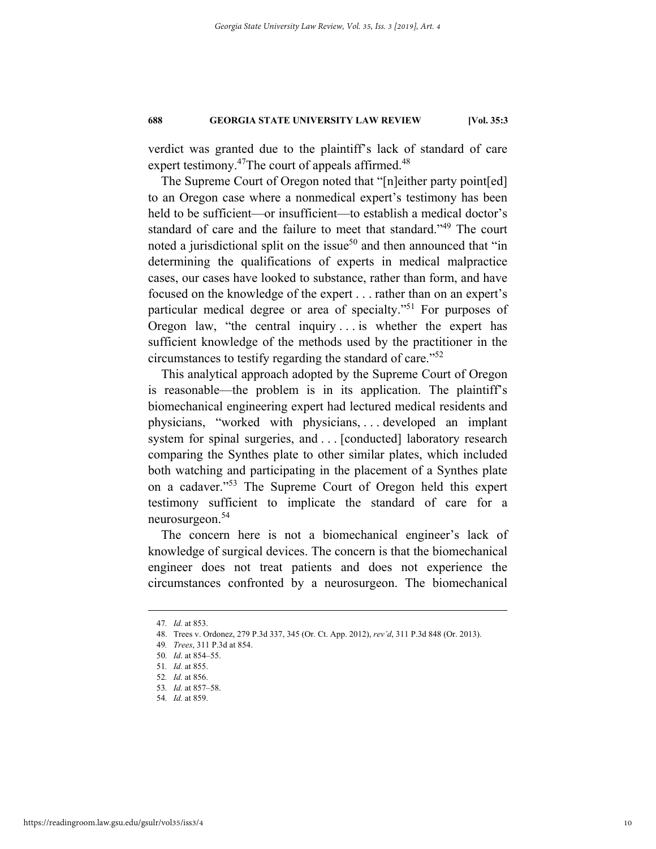verdict was granted due to the plaintiff's lack of standard of care expert testimony.<sup>47</sup>The court of appeals affirmed.<sup>48</sup>

The Supreme Court of Oregon noted that "[n]either party point[ed] to an Oregon case where a nonmedical expert's testimony has been held to be sufficient—or insufficient—to establish a medical doctor's standard of care and the failure to meet that standard."<sup>49</sup> The court noted a jurisdictional split on the issue<sup>50</sup> and then announced that "in determining the qualifications of experts in medical malpractice cases, our cases have looked to substance, rather than form, and have focused on the knowledge of the expert . . . rather than on an expert's particular medical degree or area of specialty."51 For purposes of Oregon law, "the central inquiry . . . is whether the expert has sufficient knowledge of the methods used by the practitioner in the circumstances to testify regarding the standard of care."52

This analytical approach adopted by the Supreme Court of Oregon is reasonable—the problem is in its application. The plaintiff's biomechanical engineering expert had lectured medical residents and physicians, "worked with physicians, . . . developed an implant system for spinal surgeries, and . . . [conducted] laboratory research comparing the Synthes plate to other similar plates, which included both watching and participating in the placement of a Synthes plate on a cadaver."53 The Supreme Court of Oregon held this expert testimony sufficient to implicate the standard of care for a neurosurgeon.54

The concern here is not a biomechanical engineer's lack of knowledge of surgical devices. The concern is that the biomechanical engineer does not treat patients and does not experience the circumstances confronted by a neurosurgeon. The biomechanical

 <sup>47</sup>*. Id.* at 853.

 <sup>48.</sup> Trees v. Ordonez, 279 P.3d 337, 345 (Or. Ct. App. 2012), *rev'd*, 311 P.3d 848 (Or. 2013).

<sup>49</sup>*. Trees*, 311 P.3d at 854.

<sup>50</sup>*. Id*. at 854–55.

<sup>51</sup>*. Id.* at 855.

<sup>52</sup>*. Id.* at 856.

<sup>53</sup>*. Id.* at 857–58.

<sup>54</sup>*. Id.* at 859.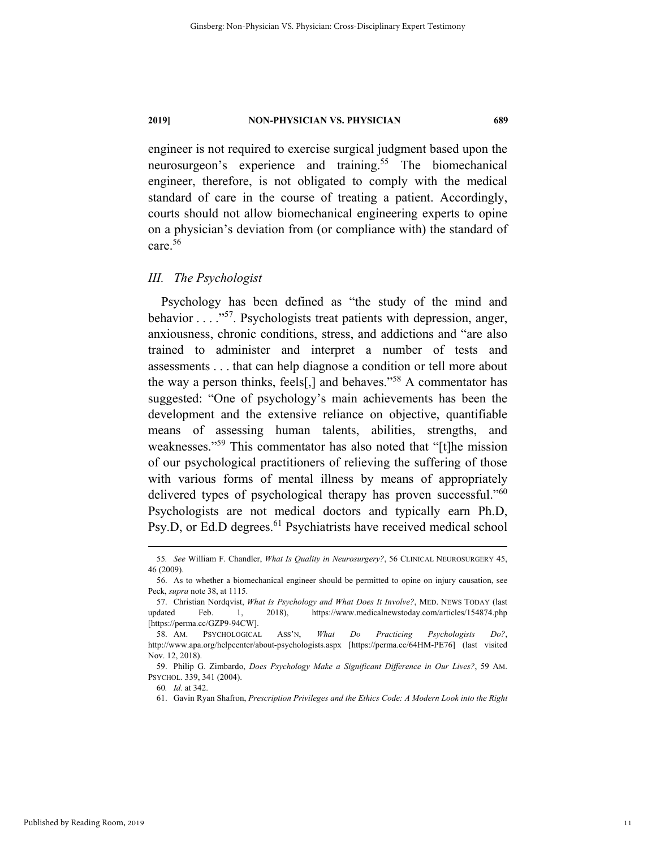engineer is not required to exercise surgical judgment based upon the neurosurgeon's experience and training.<sup>55</sup> The biomechanical engineer, therefore, is not obligated to comply with the medical standard of care in the course of treating a patient. Accordingly, courts should not allow biomechanical engineering experts to opine on a physician's deviation from (or compliance with) the standard of care.56

#### *III. The Psychologist*

Psychology has been defined as "the study of the mind and behavior . . . . .<sup>57</sup>. Psychologists treat patients with depression, anger, anxiousness, chronic conditions, stress, and addictions and "are also trained to administer and interpret a number of tests and assessments . . . that can help diagnose a condition or tell more about the way a person thinks, feels[,] and behaves."58 A commentator has suggested: "One of psychology's main achievements has been the development and the extensive reliance on objective, quantifiable means of assessing human talents, abilities, strengths, and weaknesses."<sup>59</sup> This commentator has also noted that "[t]he mission of our psychological practitioners of relieving the suffering of those with various forms of mental illness by means of appropriately delivered types of psychological therapy has proven successful."<sup>60</sup> Psychologists are not medical doctors and typically earn Ph.D, Psy.D, or Ed.D degrees.<sup>61</sup> Psychiatrists have received medical school

 <sup>55</sup>*. See* William F. Chandler, *What Is Quality in Neurosurgery?*, 56 CLINICAL NEUROSURGERY 45, 46 (2009).

 <sup>56.</sup> As to whether a biomechanical engineer should be permitted to opine on injury causation, see Peck, *supra* note 38, at 1115.

 <sup>57.</sup> Christian Nordqvist, *What Is Psychology and What Does It Involve?*, MED. NEWS TODAY (last updated Feb. 1, 2018), https://www.medicalnewstoday.com/articles/154874.php [https://perma.cc/GZP9-94CW].

 <sup>58.</sup> AM. PSYCHOLOGICAL ASS'N, *What Do Practicing Psychologists Do?*, http://www.apa.org/helpcenter/about-psychologists.aspx [https://perma.cc/64HM-PE76] (last visited Nov. 12, 2018).

 <sup>59.</sup> Philip G. Zimbardo, *Does Psychology Make a Significant Difference in Our Lives?*, 59 AM. PSYCHOL. 339, 341 (2004).

<sup>60</sup>*. Id.* at 342.

 <sup>61.</sup> Gavin Ryan Shafron, *Prescription Privileges and the Ethics Code: A Modern Look into the Right*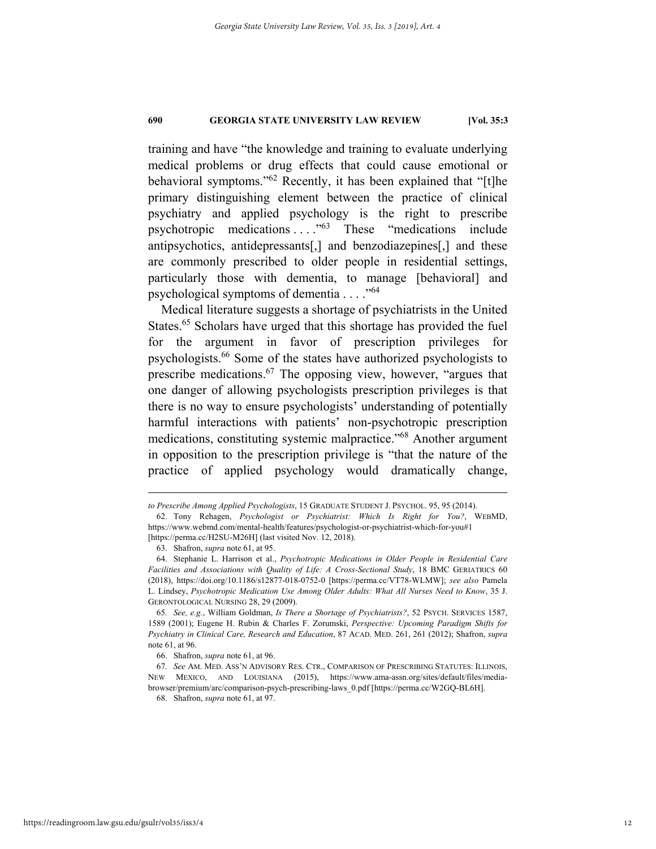training and have "the knowledge and training to evaluate underlying medical problems or drug effects that could cause emotional or behavioral symptoms."62 Recently, it has been explained that "[t]he primary distinguishing element between the practice of clinical psychiatry and applied psychology is the right to prescribe psychotropic medications . . . ."63 These "medications include antipsychotics, antidepressants[,] and benzodiazepines[,] and these are commonly prescribed to older people in residential settings, particularly those with dementia, to manage [behavioral] and psychological symptoms of dementia  $\ldots$ ."<sup>64</sup>

Medical literature suggests a shortage of psychiatrists in the United States.<sup>65</sup> Scholars have urged that this shortage has provided the fuel for the argument in favor of prescription privileges for psychologists.66 Some of the states have authorized psychologists to prescribe medications.67 The opposing view, however, "argues that one danger of allowing psychologists prescription privileges is that there is no way to ensure psychologists' understanding of potentially harmful interactions with patients' non-psychotropic prescription medications, constituting systemic malpractice."68 Another argument in opposition to the prescription privilege is "that the nature of the practice of applied psychology would dramatically change,

1

66. Shafron, *supra* note 61, at 96.

68. Shafron, *supra* note 61, at 97.

*to Prescribe Among Applied Psychologists*, 15 GRADUATE STUDENT J. PSYCHOL. 95, 95 (2014).

 <sup>62.</sup> Tony Rehagen, *Psychologist or Psychiatrist: Which Is Right for You?*, WEBMD, https://www.webmd.com/mental-health/features/psychologist-or-psychiatrist-which-for-you#1 [https://perma.cc/H2SU-M26H] (last visited Nov. 12, 2018).

 <sup>63.</sup> Shafron, *supra* note 61, at 95.

 <sup>64.</sup> Stephanie L. Harrison et al., *Psychotropic Medications in Older People in Residential Care Facilities and Associations with Quality of Life: A Cross-Sectional Study*, 18 BMC GERIATRICS 60 (2018), https://doi.org/10.1186/s12877-018-0752-0 [https://perma.cc/VT78-WLMW]; *see also* Pamela L. Lindsey, *Psychotropic Medication Use Among Older Adults: What All Nurses Need to Know*, 35 J. GERONTOLOGICAL NURSING 28, 29 (2009).

<sup>65</sup>*. See, e.g.*, William Goldman, *Is There a Shortage of Psychiatrists?*, 52 PSYCH. SERVICES 1587, 1589 (2001); Eugene H. Rubin & Charles F. Zorumski, *Perspective: Upcoming Paradigm Shifts for Psychiatry in Clinical Care, Research and Education*, 87 ACAD. MED. 261, 261 (2012); Shafron, *supra* note 61, at 96.

<sup>67</sup>*. See* AM. MED. ASS'N ADVISORY RES. CTR., COMPARISON OF PRESCRIBING STATUTES: ILLINOIS, NEW MEXICO, AND LOUISIANA (2015), https://www.ama-assn.org/sites/default/files/mediabrowser/premium/arc/comparison-psych-prescribing-laws\_0.pdf [https://perma.cc/W2GQ-BL6H].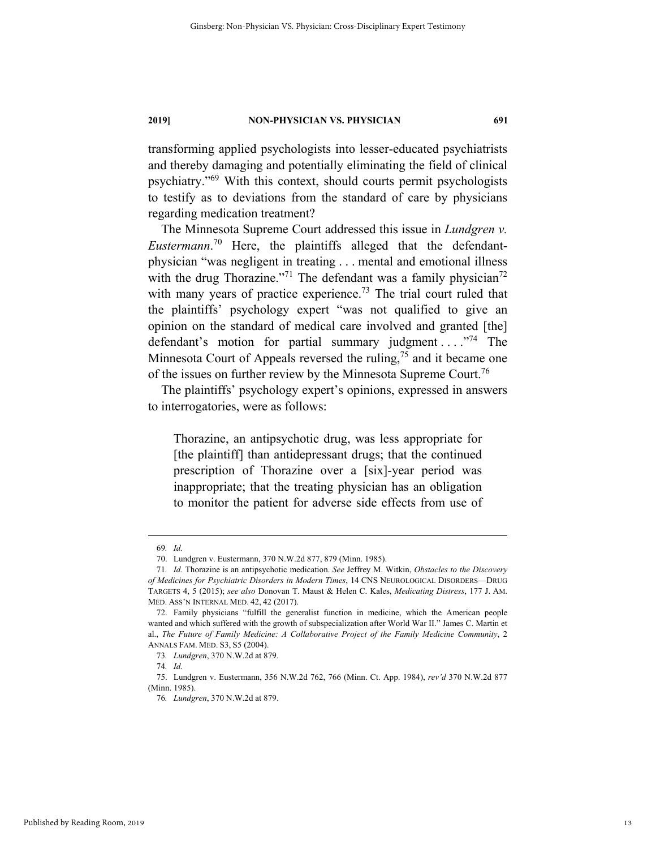transforming applied psychologists into lesser-educated psychiatrists and thereby damaging and potentially eliminating the field of clinical psychiatry."69 With this context, should courts permit psychologists to testify as to deviations from the standard of care by physicians regarding medication treatment?

The Minnesota Supreme Court addressed this issue in *Lundgren v. Eustermann*. 70 Here, the plaintiffs alleged that the defendantphysician "was negligent in treating . . . mental and emotional illness with the drug Thorazine."<sup>71</sup> The defendant was a family physician<sup>72</sup> with many years of practice experience.<sup>73</sup> The trial court ruled that the plaintiffs' psychology expert "was not qualified to give an opinion on the standard of medical care involved and granted [the] defendant's motion for partial summary judgment ...."<sup>74</sup> The Minnesota Court of Appeals reversed the ruling,  $75$  and it became one of the issues on further review by the Minnesota Supreme Court.<sup>76</sup>

The plaintiffs' psychology expert's opinions, expressed in answers to interrogatories, were as follows:

Thorazine, an antipsychotic drug, was less appropriate for [the plaintiff] than antidepressant drugs; that the continued prescription of Thorazine over a [six]-year period was inappropriate; that the treating physician has an obligation to monitor the patient for adverse side effects from use of

 <sup>69</sup>*. Id.*

 <sup>70.</sup> Lundgren v. Eustermann, 370 N.W.2d 877, 879 (Minn. 1985).

<sup>71</sup>*. Id.* Thorazine is an antipsychotic medication. *See* Jeffrey M. Witkin, *Obstacles to the Discovery of Medicines for Psychiatric Disorders in Modern Times*, 14 CNS NEUROLOGICAL DISORDERS—DRUG TARGETS 4, 5 (2015); *see also* Donovan T. Maust & Helen C. Kales, *Medicating Distress*, 177 J. AM. MED. ASS'N INTERNAL MED. 42, 42 (2017).

 <sup>72.</sup> Family physicians "fulfill the generalist function in medicine, which the American people wanted and which suffered with the growth of subspecialization after World War II." James C. Martin et al., *The Future of Family Medicine: A Collaborative Project of the Family Medicine Community*, 2 ANNALS FAM. MED. S3, S5 (2004).

<sup>73</sup>*. Lundgren*, 370 N.W.2d at 879.

<sup>74</sup>*. Id.*

 <sup>75.</sup> Lundgren v. Eustermann, 356 N.W.2d 762, 766 (Minn. Ct. App. 1984), *rev'd* 370 N.W.2d 877 (Minn. 1985).

<sup>76</sup>*. Lundgren*, 370 N.W.2d at 879.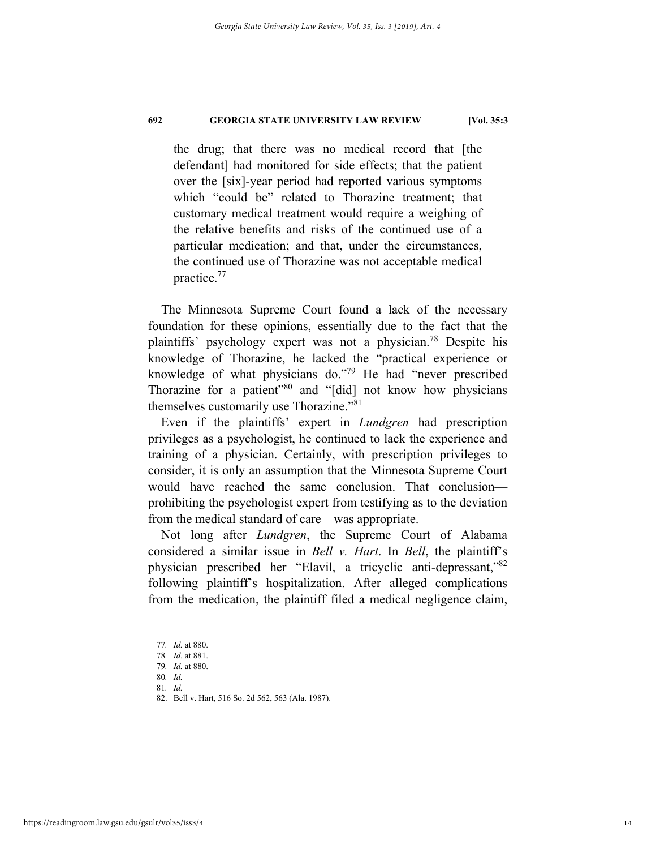the drug; that there was no medical record that [the defendant] had monitored for side effects; that the patient over the [six]-year period had reported various symptoms which "could be" related to Thorazine treatment; that customary medical treatment would require a weighing of the relative benefits and risks of the continued use of a particular medication; and that, under the circumstances, the continued use of Thorazine was not acceptable medical practice.77

The Minnesota Supreme Court found a lack of the necessary foundation for these opinions, essentially due to the fact that the plaintiffs' psychology expert was not a physician.78 Despite his knowledge of Thorazine, he lacked the "practical experience or knowledge of what physicians do."79 He had "never prescribed Thorazine for a patient"<sup>80</sup> and "[did] not know how physicians themselves customarily use Thorazine."81

Even if the plaintiffs' expert in *Lundgren* had prescription privileges as a psychologist, he continued to lack the experience and training of a physician. Certainly, with prescription privileges to consider, it is only an assumption that the Minnesota Supreme Court would have reached the same conclusion. That conclusion prohibiting the psychologist expert from testifying as to the deviation from the medical standard of care—was appropriate.

Not long after *Lundgren*, the Supreme Court of Alabama considered a similar issue in *Bell v. Hart*. In *Bell*, the plaintiff's physician prescribed her "Elavil, a tricyclic anti-depressant,"82 following plaintiff's hospitalization. After alleged complications from the medication, the plaintiff filed a medical negligence claim,

 <sup>77</sup>*. Id.* at 880.

<sup>78</sup>*. Id.* at 881.

<sup>79</sup>*. Id.* at 880.

<sup>80</sup>*. Id.* 81*. Id.*

 <sup>82.</sup> Bell v. Hart, 516 So. 2d 562, 563 (Ala. 1987).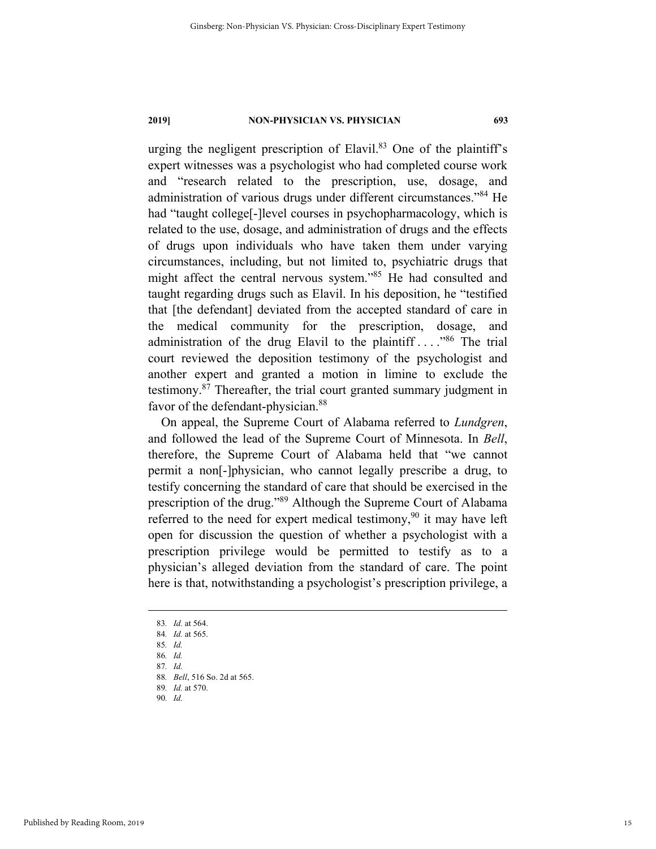urging the negligent prescription of Elavil. $83$  One of the plaintiff's expert witnesses was a psychologist who had completed course work and "research related to the prescription, use, dosage, and administration of various drugs under different circumstances."<sup>84</sup> He had "taught college[-]level courses in psychopharmacology, which is related to the use, dosage, and administration of drugs and the effects of drugs upon individuals who have taken them under varying circumstances, including, but not limited to, psychiatric drugs that might affect the central nervous system."85 He had consulted and taught regarding drugs such as Elavil. In his deposition, he "testified that [the defendant] deviated from the accepted standard of care in the medical community for the prescription, dosage, and administration of the drug Elavil to the plaintiff  $\ldots$ . <sup>86</sup> The trial court reviewed the deposition testimony of the psychologist and another expert and granted a motion in limine to exclude the testimony.87 Thereafter, the trial court granted summary judgment in favor of the defendant-physician.<sup>88</sup>

On appeal, the Supreme Court of Alabama referred to *Lundgren*, and followed the lead of the Supreme Court of Minnesota. In *Bell*, therefore, the Supreme Court of Alabama held that "we cannot permit a non[-]physician, who cannot legally prescribe a drug, to testify concerning the standard of care that should be exercised in the prescription of the drug."89 Although the Supreme Court of Alabama referred to the need for expert medical testimony,<sup>90</sup> it may have left open for discussion the question of whether a psychologist with a prescription privilege would be permitted to testify as to a physician's alleged deviation from the standard of care. The point here is that, notwithstanding a psychologist's prescription privilege, a

86*. Id.*

88*. Bell*, 516 So. 2d at 565.

 <sup>83</sup>*. Id.* at 564.

<sup>84</sup>*. Id.* at 565.

<sup>85</sup>*. Id.*

<sup>87</sup>*. Id.*

<sup>89</sup>*. Id.* at 570.

<sup>90</sup>*. Id.*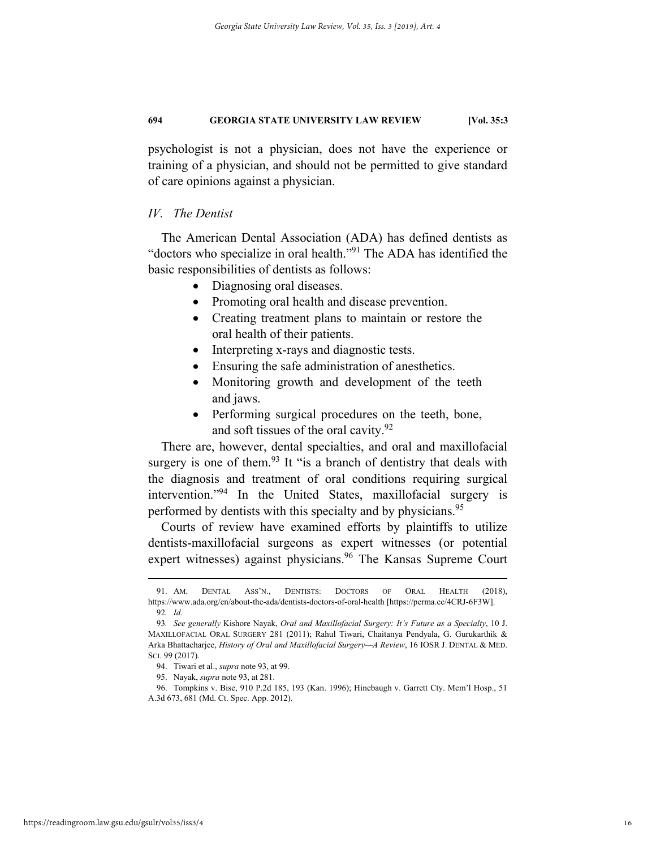psychologist is not a physician, does not have the experience or training of a physician, and should not be permitted to give standard of care opinions against a physician.

#### *IV. The Dentist*

The American Dental Association (ADA) has defined dentists as "doctors who specialize in oral health."91 The ADA has identified the basic responsibilities of dentists as follows:

- Diagnosing oral diseases.
- Promoting oral health and disease prevention.
- Creating treatment plans to maintain or restore the oral health of their patients.
- Interpreting x-rays and diagnostic tests.
- Ensuring the safe administration of anesthetics.
- Monitoring growth and development of the teeth and jaws.
- Performing surgical procedures on the teeth, bone, and soft tissues of the oral cavity.<sup>92</sup>

There are, however, dental specialties, and oral and maxillofacial surgery is one of them.<sup>93</sup> It "is a branch of dentistry that deals with the diagnosis and treatment of oral conditions requiring surgical intervention."94 In the United States, maxillofacial surgery is performed by dentists with this specialty and by physicians.<sup>95</sup>

Courts of review have examined efforts by plaintiffs to utilize dentists-maxillofacial surgeons as expert witnesses (or potential expert witnesses) against physicians.<sup>96</sup> The Kansas Supreme Court

 <sup>91.</sup> AM. DENTAL ASS'N., DENTISTS: DOCTORS OF ORAL HEALTH (2018), https://www.ada.org/en/about-the-ada/dentists-doctors-of-oral-health [https://perma.cc/4CRJ-6F3W]. 92*. Id.*

<sup>93</sup>*. See generally* Kishore Nayak, *Oral and Maxillofacial Surgery: It's Future as a Specialty*, 10 J. MAXILLOFACIAL ORAL SURGERY 281 (2011); Rahul Tiwari, Chaitanya Pendyala, G. Gurukarthik & Arka Bhattacharjee, *History of Oral and Maxillofacial Surgery—A Review*, 16 IOSR J. DENTAL & MED. SCI. 99 (2017).

 <sup>94.</sup> Tiwari et al., *supra* note 93, at 99.

 <sup>95.</sup> Nayak, *supra* note 93, at 281.

 <sup>96.</sup> Tompkins v. Bise, 910 P.2d 185, 193 (Kan. 1996); Hinebaugh v. Garrett Cty. Mem'l Hosp., 51 A.3d 673, 681 (Md. Ct. Spec. App. 2012).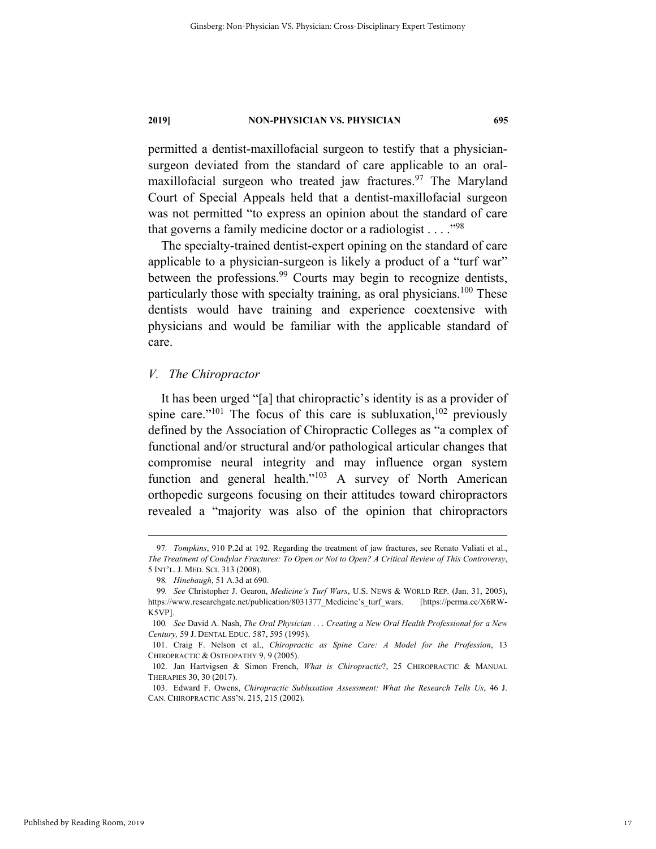permitted a dentist-maxillofacial surgeon to testify that a physiciansurgeon deviated from the standard of care applicable to an oralmaxillofacial surgeon who treated jaw fractures.<sup>97</sup> The Maryland Court of Special Appeals held that a dentist-maxillofacial surgeon was not permitted "to express an opinion about the standard of care that governs a family medicine doctor or a radiologist  $\dots$ ."<sup>98</sup>

The specialty-trained dentist-expert opining on the standard of care applicable to a physician-surgeon is likely a product of a "turf war" between the professions.<sup>99</sup> Courts may begin to recognize dentists, particularly those with specialty training, as oral physicians.<sup>100</sup> These dentists would have training and experience coextensive with physicians and would be familiar with the applicable standard of care.

#### *V. The Chiropractor*

It has been urged "[a] that chiropractic's identity is as a provider of spine care."<sup>101</sup> The focus of this care is subluxation,<sup>102</sup> previously defined by the Association of Chiropractic Colleges as "a complex of functional and/or structural and/or pathological articular changes that compromise neural integrity and may influence organ system function and general health."<sup>103</sup> A survey of North American orthopedic surgeons focusing on their attitudes toward chiropractors revealed a "majority was also of the opinion that chiropractors

 <sup>97</sup>*. Tompkins*, 910 P.2d at 192. Regarding the treatment of jaw fractures, see Renato Valiati et al., *The Treatment of Condylar Fractures: To Open or Not to Open? A Critical Review of This Controversy*, 5 INT'L. J. MED. SCI. 313 (2008).

<sup>98</sup>*. Hinebaugh*, 51 A.3d at 690.

<sup>99</sup>*. See* Christopher J. Gearon, *Medicine's Turf Wars*, U.S. NEWS & WORLD REP. (Jan. 31, 2005), https://www.researchgate.net/publication/8031377\_Medicine's\_turf\_wars. [https://perma.cc/X6RW-K5VP].

<sup>100</sup>*. See* David A. Nash, *The Oral Physician . . . Creating a New Oral Health Professional for a New Century,* 59 J. DENTAL EDUC. 587, 595 (1995).

 <sup>101.</sup> Craig F. Nelson et al., *Chiropractic as Spine Care: A Model for the Profession*, 13 CHIROPRACTIC & OSTEOPATHY 9, 9 (2005).

 <sup>102.</sup> Jan Hartvigsen & Simon French, *What is Chiropractic*?, 25 CHIROPRACTIC & MANUAL THERAPIES 30, 30 (2017).

 <sup>103.</sup> Edward F. Owens, *Chiropractic Subluxation Assessment: What the Research Tells Us*, 46 J. CAN. CHIROPRACTIC ASS'N. 215, 215 (2002).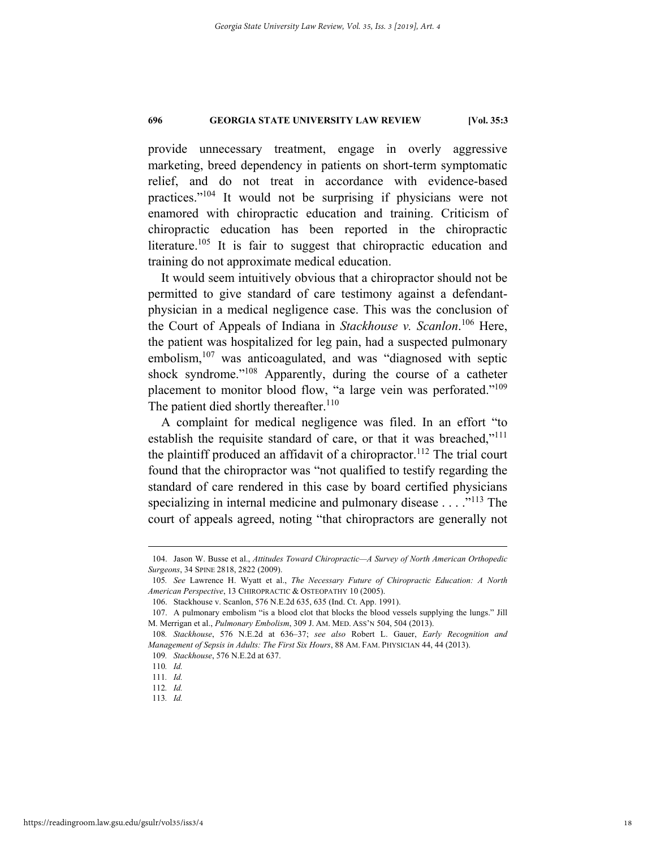provide unnecessary treatment, engage in overly aggressive marketing, breed dependency in patients on short-term symptomatic relief, and do not treat in accordance with evidence-based practices."104 It would not be surprising if physicians were not enamored with chiropractic education and training. Criticism of chiropractic education has been reported in the chiropractic literature.<sup>105</sup> It is fair to suggest that chiropractic education and training do not approximate medical education.

It would seem intuitively obvious that a chiropractor should not be permitted to give standard of care testimony against a defendantphysician in a medical negligence case. This was the conclusion of the Court of Appeals of Indiana in *Stackhouse v. Scanlon*. 106 Here, the patient was hospitalized for leg pain, had a suspected pulmonary embolism,  $107$  was anticoagulated, and was "diagnosed with septic shock syndrome."108 Apparently, during the course of a catheter placement to monitor blood flow, "a large vein was perforated."<sup>109</sup> The patient died shortly thereafter.<sup>110</sup>

A complaint for medical negligence was filed. In an effort "to establish the requisite standard of care, or that it was breached,"<sup>111</sup> the plaintiff produced an affidavit of a chiropractor.<sup>112</sup> The trial court found that the chiropractor was "not qualified to testify regarding the standard of care rendered in this case by board certified physicians specializing in internal medicine and pulmonary disease  $\dots$  ."<sup>113</sup> The court of appeals agreed, noting "that chiropractors are generally not

 <sup>104.</sup> Jason W. Busse et al., *Attitudes Toward Chiropractic—A Survey of North American Orthopedic Surgeons*, 34 SPINE 2818, 2822 (2009).

<sup>105</sup>*. See* Lawrence H. Wyatt et al., *The Necessary Future of Chiropractic Education: A North American Perspective*, 13 CHIROPRACTIC & OSTEOPATHY 10 (2005).

 <sup>106.</sup> Stackhouse v. Scanlon, 576 N.E.2d 635, 635 (Ind. Ct. App. 1991).

 <sup>107.</sup> A pulmonary embolism "is a blood clot that blocks the blood vessels supplying the lungs." Jill M. Merrigan et al., *Pulmonary Embolism*, 309 J. AM. MED. ASS'N 504, 504 (2013).

<sup>108</sup>*. Stackhouse*, 576 N.E.2d at 636–37; *see also* Robert L. Gauer, *Early Recognition and Management of Sepsis in Adults: The First Six Hours*, 88 AM. FAM. PHYSICIAN 44, 44 (2013).

<sup>109</sup>*. Stackhouse*, 576 N.E.2d at 637.

<sup>110</sup>*. Id.*

<sup>111</sup>*. Id.*

<sup>112</sup>*. Id.*

<sup>113</sup>*. Id.*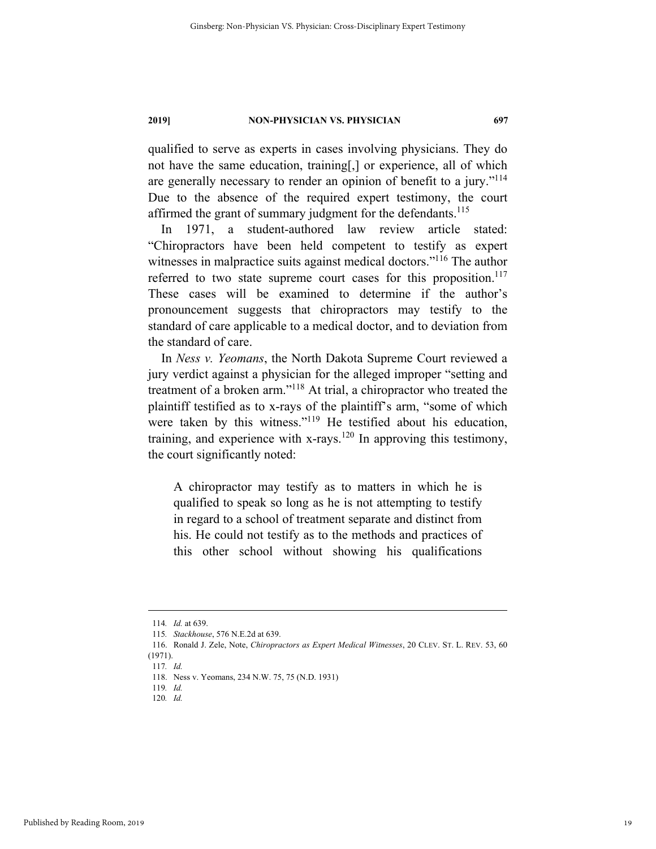qualified to serve as experts in cases involving physicians. They do not have the same education, training[,] or experience, all of which are generally necessary to render an opinion of benefit to a jury."<sup>114</sup> Due to the absence of the required expert testimony, the court affirmed the grant of summary judgment for the defendants.<sup>115</sup>

In 1971, a student-authored law review article stated: "Chiropractors have been held competent to testify as expert witnesses in malpractice suits against medical doctors."<sup>116</sup> The author referred to two state supreme court cases for this proposition. $117$ These cases will be examined to determine if the author's pronouncement suggests that chiropractors may testify to the standard of care applicable to a medical doctor, and to deviation from the standard of care.

In *Ness v. Yeomans*, the North Dakota Supreme Court reviewed a jury verdict against a physician for the alleged improper "setting and treatment of a broken arm."118 At trial, a chiropractor who treated the plaintiff testified as to x-rays of the plaintiff's arm, "some of which were taken by this witness."<sup>119</sup> He testified about his education, training, and experience with x-rays.<sup>120</sup> In approving this testimony, the court significantly noted:

A chiropractor may testify as to matters in which he is qualified to speak so long as he is not attempting to testify in regard to a school of treatment separate and distinct from his. He could not testify as to the methods and practices of this other school without showing his qualifications

 <sup>114</sup>*. Id.* at 639.

<sup>115</sup>*. Stackhouse*, 576 N.E.2d at 639.

 <sup>116.</sup> Ronald J. Zele, Note, *Chiropractors as Expert Medical Witnesses*, 20 CLEV. ST. L. REV. 53, 60 (1971).

<sup>117</sup>*. Id.* 

 <sup>118.</sup> Ness v. Yeomans, 234 N.W. 75, 75 (N.D. 1931)

<sup>119</sup>*. Id.*

<sup>120</sup>*. Id.*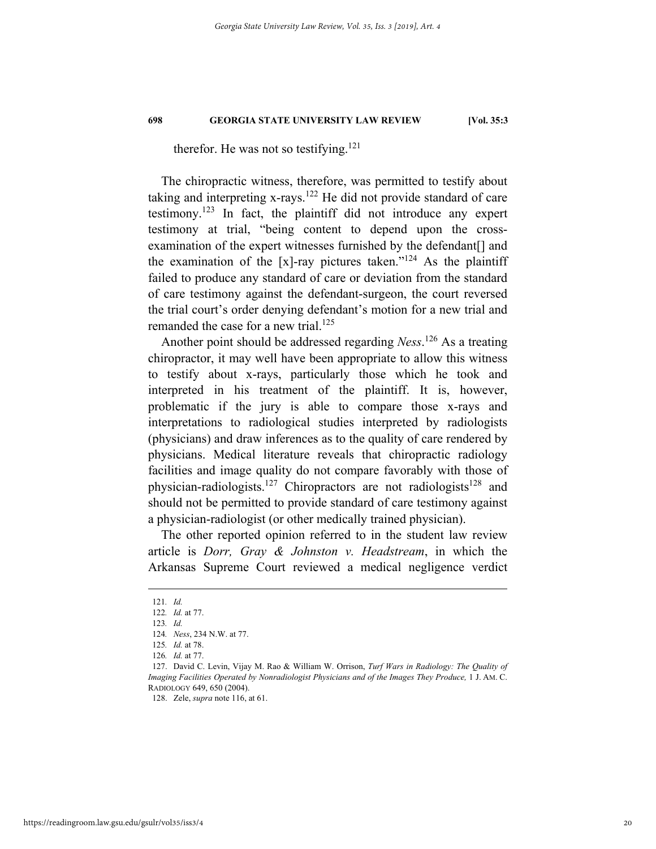therefor. He was not so testifying.<sup>121</sup>

The chiropractic witness, therefore, was permitted to testify about taking and interpreting  $x$ -rays.<sup>122</sup> He did not provide standard of care testimony.<sup>123</sup> In fact, the plaintiff did not introduce any expert testimony at trial, "being content to depend upon the crossexamination of the expert witnesses furnished by the defendant[] and the examination of the [x]-ray pictures taken."<sup>124</sup> As the plaintiff failed to produce any standard of care or deviation from the standard of care testimony against the defendant-surgeon, the court reversed the trial court's order denying defendant's motion for a new trial and remanded the case for a new trial.<sup>125</sup>

Another point should be addressed regarding *Ness*. 126 As a treating chiropractor, it may well have been appropriate to allow this witness to testify about x-rays, particularly those which he took and interpreted in his treatment of the plaintiff. It is, however, problematic if the jury is able to compare those x-rays and interpretations to radiological studies interpreted by radiologists (physicians) and draw inferences as to the quality of care rendered by physicians. Medical literature reveals that chiropractic radiology facilities and image quality do not compare favorably with those of physician-radiologists.<sup>127</sup> Chiropractors are not radiologists<sup>128</sup> and should not be permitted to provide standard of care testimony against a physician-radiologist (or other medically trained physician).

The other reported opinion referred to in the student law review article is *Dorr, Gray & Johnston v. Headstream*, in which the Arkansas Supreme Court reviewed a medical negligence verdict

 <sup>121</sup>*. Id.*

<sup>122</sup>*. Id.* at 77.

<sup>123</sup>*. Id.*

<sup>124</sup>*. Ness*, 234 N.W. at 77.

<sup>125</sup>*. Id.* at 78.

<sup>126</sup>*. Id.* at 77.

 <sup>127.</sup> David C. Levin, Vijay M. Rao & William W. Orrison, *Turf Wars in Radiology: The Quality of Imaging Facilities Operated by Nonradiologist Physicians and of the Images They Produce,* 1 J. AM. C. RADIOLOGY 649, 650 (2004).

 <sup>128.</sup> Zele, *supra* note 116, at 61.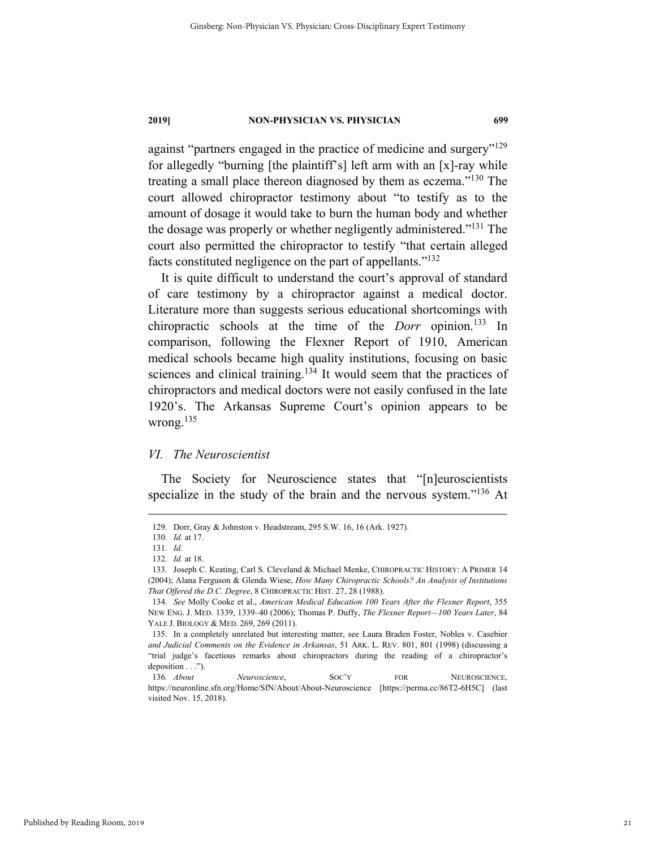against "partners engaged in the practice of medicine and surgery"<sup>129</sup> for allegedly "burning [the plaintiff's] left arm with an [x]-ray while treating a small place thereon diagnosed by them as eczema."130 The court allowed chiropractor testimony about "to testify as to the amount of dosage it would take to burn the human body and whether the dosage was properly or whether negligently administered."<sup>131</sup> The court also permitted the chiropractor to testify "that certain alleged facts constituted negligence on the part of appellants."132

It is quite difficult to understand the court's approval of standard of care testimony by a chiropractor against a medical doctor. Literature more than suggests serious educational shortcomings with chiropractic schools at the time of the *Dorr* opinion.<sup>133</sup> In comparison, following the Flexner Report of 1910, American medical schools became high quality institutions, focusing on basic sciences and clinical training.134 It would seem that the practices of chiropractors and medical doctors were not easily confused in the late 1920's. The Arkansas Supreme Court's opinion appears to be wrong.135

#### *VI. The Neuroscientist*

The Society for Neuroscience states that "[n]euroscientists specialize in the study of the brain and the nervous system."<sup>136</sup> At

 <sup>129.</sup> Dorr, Gray & Johnston v. Headstream, 295 S.W. 16, 16 (Ark. 1927).

<sup>130</sup>*. Id.* at 17.

<sup>131</sup>*. Id.*

<sup>132</sup>*. Id.* at 18.

 <sup>133.</sup> Joseph C. Keating, Carl S. Cleveland & Michael Menke, CHIROPRACTIC HISTORY: A PRIMER 14 (2004); Alana Ferguson & Glenda Wiese, *How Many Chiropractic Schools? An Analysis of Institutions That Offered the D.C. Degree*, 8 CHIROPRACTIC HIST. 27, 28 (1988).

<sup>134</sup>*. See* Molly Cooke et al., *American Medical Education 100 Years After the Flexner Report*, 355 NEW ENG. J. MED. 1339, 1339–40 (2006); Thomas P. Duffy, *The Flexner Report—100 Years Later*, 84 YALE J. BIOLOGY & MED. 269, 269 (2011).

 <sup>135.</sup> In a completely unrelated but interesting matter, see Laura Braden Foster, Nobles v. Casebier *and Judicial Comments on the Evidence in Arkansas*, 51 ARK. L. REV. 801, 801 (1998) (discussing a "trial judge's facetious remarks about chiropractors during the reading of a chiropractor's deposition . . .").

<sup>136</sup>*. About Neuroscience*, SOC'Y FOR NEUROSCIENCE, https://neuronline.sfn.org/Home/SfN/About/About-Neuroscience [https://perma.cc/86T2-6H5C] (last visited Nov. 15, 2018).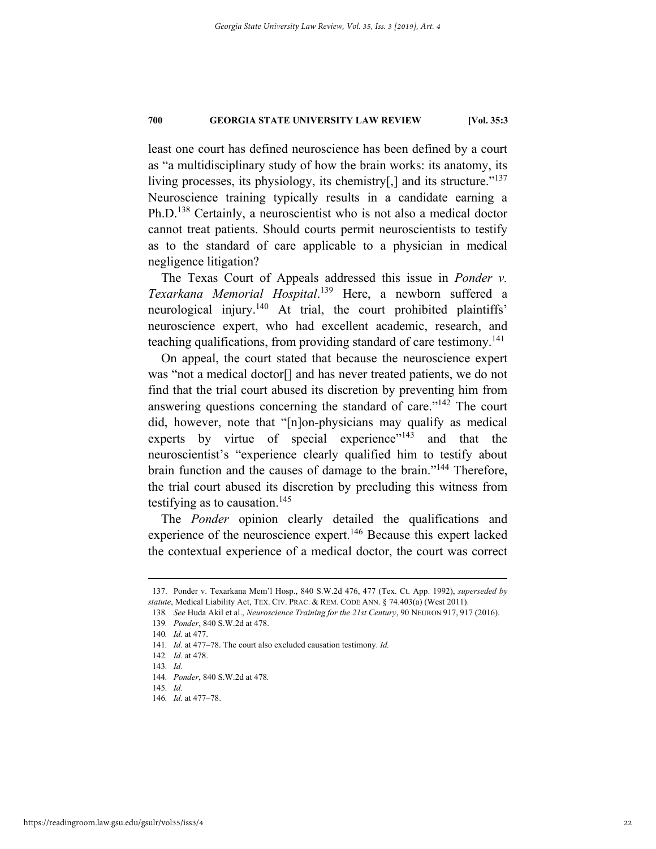least one court has defined neuroscience has been defined by a court as "a multidisciplinary study of how the brain works: its anatomy, its living processes, its physiology, its chemistry[,] and its structure." $137$ Neuroscience training typically results in a candidate earning a Ph.D.138 Certainly, a neuroscientist who is not also a medical doctor cannot treat patients. Should courts permit neuroscientists to testify as to the standard of care applicable to a physician in medical negligence litigation?

The Texas Court of Appeals addressed this issue in *Ponder v. Texarkana Memorial Hospital*. 139 Here, a newborn suffered a neurological injury.<sup>140</sup> At trial, the court prohibited plaintiffs' neuroscience expert, who had excellent academic, research, and teaching qualifications, from providing standard of care testimony.<sup>141</sup>

On appeal, the court stated that because the neuroscience expert was "not a medical doctor[] and has never treated patients, we do not find that the trial court abused its discretion by preventing him from answering questions concerning the standard of care."<sup>142</sup> The court did, however, note that "[n]on-physicians may qualify as medical experts by virtue of special experience $v<sup>143</sup>$  and that the neuroscientist's "experience clearly qualified him to testify about brain function and the causes of damage to the brain."<sup>144</sup> Therefore, the trial court abused its discretion by precluding this witness from testifying as to causation.<sup>145</sup>

The *Ponder* opinion clearly detailed the qualifications and experience of the neuroscience expert.<sup>146</sup> Because this expert lacked the contextual experience of a medical doctor, the court was correct

 <sup>137.</sup> Ponder v. Texarkana Mem'l Hosp., 840 S.W.2d 476, 477 (Tex. Ct. App. 1992), *superseded by statute*, Medical Liability Act, TEX. CIV. PRAC. & REM. CODE ANN. § 74.403(a) (West 2011).

<sup>138</sup>*. See* Huda Akil et al., *Neuroscience Training for the 21st Century*, 90 NEURON 917, 917 (2016).

<sup>139</sup>*. Ponder*, 840 S.W.2d at 478.

<sup>140</sup>*. Id.* at 477.

<sup>141</sup>*. Id.* at 477–78. The court also excluded causation testimony. *Id.*

<sup>142</sup>*. Id.* at 478.

<sup>143</sup>*. Id.*

<sup>144</sup>*. Ponder*, 840 S.W.2d at 478*.*

<sup>145</sup>*. Id.*

<sup>146</sup>*. Id.* at 477–78.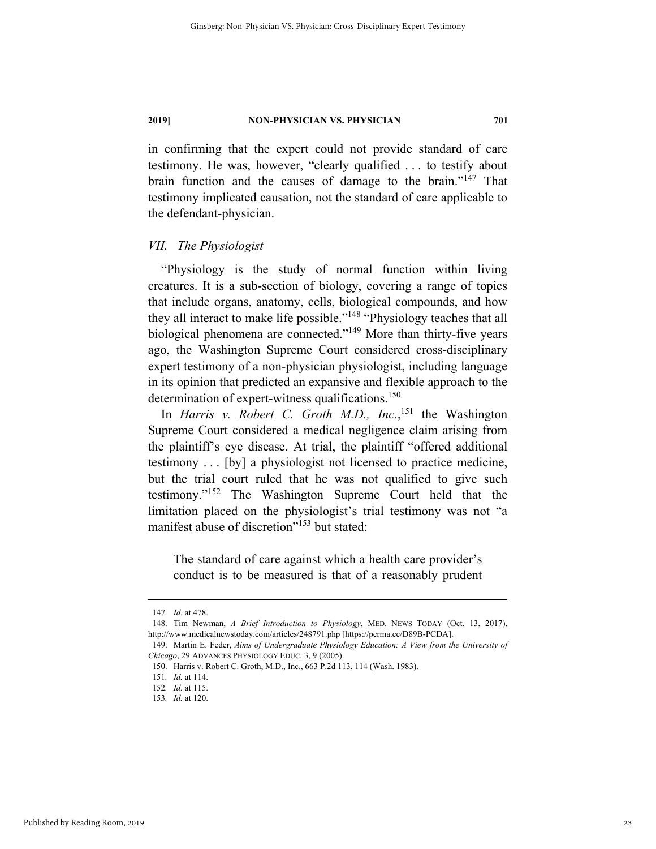in confirming that the expert could not provide standard of care testimony. He was, however, "clearly qualified . . . to testify about brain function and the causes of damage to the brain."147 That testimony implicated causation, not the standard of care applicable to the defendant-physician.

#### *VII. The Physiologist*

"Physiology is the study of normal function within living creatures. It is a sub-section of biology, covering a range of topics that include organs, anatomy, cells, biological compounds, and how they all interact to make life possible."<sup>148</sup> "Physiology teaches that all biological phenomena are connected."<sup>149</sup> More than thirty-five years ago, the Washington Supreme Court considered cross-disciplinary expert testimony of a non-physician physiologist, including language in its opinion that predicted an expansive and flexible approach to the determination of expert-witness qualifications.<sup>150</sup>

In *Harris v. Robert C. Groth M.D., Inc.*, 151 the Washington Supreme Court considered a medical negligence claim arising from the plaintiff's eye disease. At trial, the plaintiff "offered additional testimony . . . [by] a physiologist not licensed to practice medicine, but the trial court ruled that he was not qualified to give such testimony."152 The Washington Supreme Court held that the limitation placed on the physiologist's trial testimony was not "a manifest abuse of discretion"<sup>153</sup> but stated:

The standard of care against which a health care provider's conduct is to be measured is that of a reasonably prudent

 <sup>147</sup>*. Id.* at 478.

 <sup>148.</sup> Tim Newman, *A Brief Introduction to Physiology*, MED. NEWS TODAY (Oct. 13, 2017), http://www.medicalnewstoday.com/articles/248791.php [https://perma.cc/D89B-PCDA].

 <sup>149.</sup> Martin E. Feder, *Aims of Undergraduate Physiology Education: A View from the University of Chicago*, 29 ADVANCES PHYSIOLOGY EDUC. 3, 9 (2005).

 <sup>150.</sup> Harris v. Robert C. Groth, M.D., Inc., 663 P.2d 113, 114 (Wash. 1983).

<sup>151</sup>*. Id.* at 114.

<sup>152</sup>*. Id.* at 115.

<sup>153</sup>*. Id.* at 120.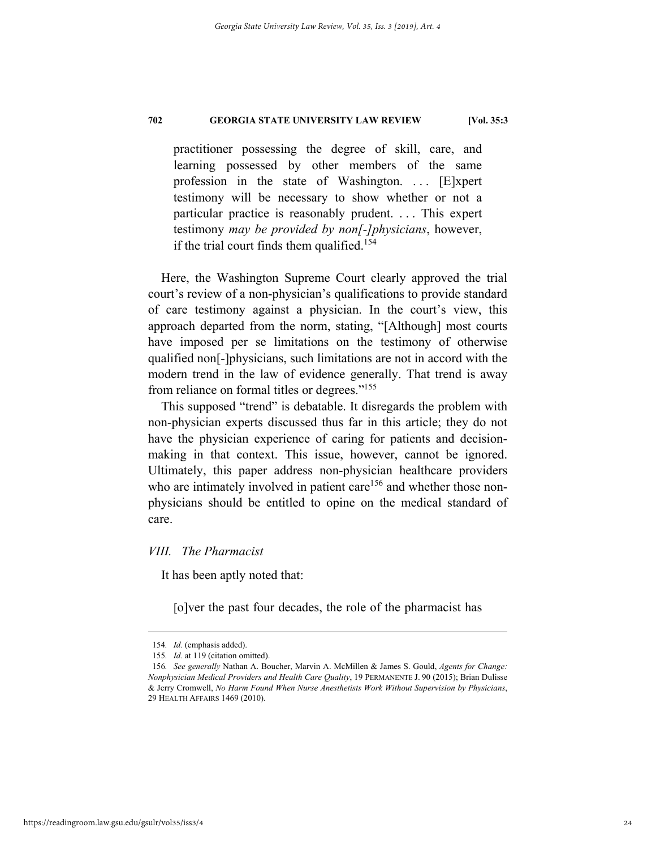practitioner possessing the degree of skill, care, and learning possessed by other members of the same profession in the state of Washington. ... [E]xpert testimony will be necessary to show whether or not a particular practice is reasonably prudent. . . . This expert testimony *may be provided by non[-]physicians*, however, if the trial court finds them qualified.<sup>154</sup>

Here, the Washington Supreme Court clearly approved the trial court's review of a non-physician's qualifications to provide standard of care testimony against a physician. In the court's view, this approach departed from the norm, stating, "[Although] most courts have imposed per se limitations on the testimony of otherwise qualified non[-]physicians, such limitations are not in accord with the modern trend in the law of evidence generally. That trend is away from reliance on formal titles or degrees."155

This supposed "trend" is debatable. It disregards the problem with non-physician experts discussed thus far in this article; they do not have the physician experience of caring for patients and decisionmaking in that context. This issue, however, cannot be ignored. Ultimately, this paper address non-physician healthcare providers who are intimately involved in patient care<sup>156</sup> and whether those nonphysicians should be entitled to opine on the medical standard of care.

#### *VIII. The Pharmacist*

It has been aptly noted that:

[o]ver the past four decades, the role of the pharmacist has

 <sup>154</sup>*. Id.* (emphasis added).

<sup>155</sup>*. Id.* at 119 (citation omitted).

<sup>156</sup>*. See generally* Nathan A. Boucher, Marvin A. McMillen & James S. Gould, *Agents for Change: Nonphysician Medical Providers and Health Care Quality*, 19 PERMANENTE J. 90 (2015); Brian Dulisse & Jerry Cromwell, *No Harm Found When Nurse Anesthetists Work Without Supervision by Physicians*, 29 HEALTH AFFAIRS 1469 (2010).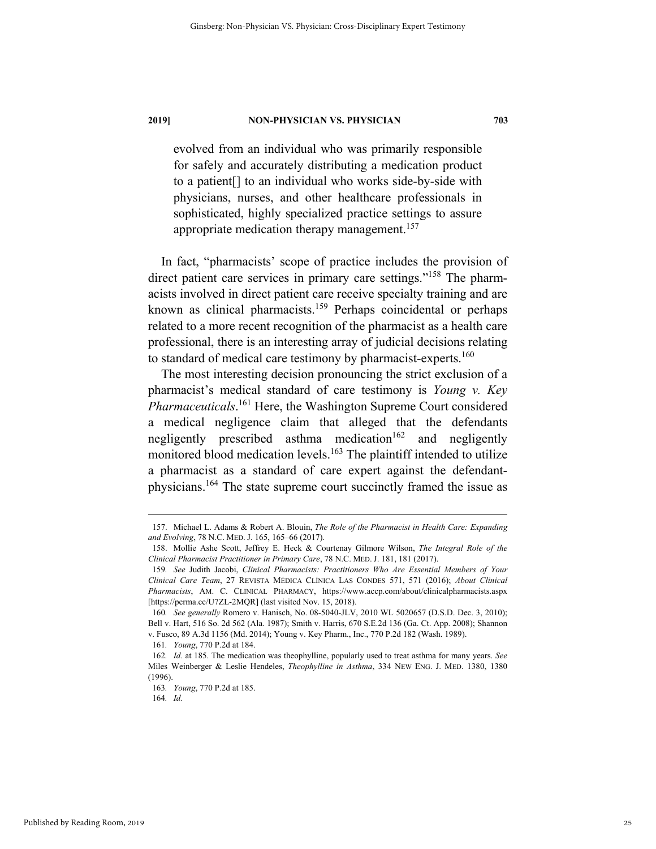evolved from an individual who was primarily responsible for safely and accurately distributing a medication product to a patient[] to an individual who works side-by-side with physicians, nurses, and other healthcare professionals in sophisticated, highly specialized practice settings to assure appropriate medication therapy management.<sup>157</sup>

In fact, "pharmacists' scope of practice includes the provision of direct patient care services in primary care settings."<sup>158</sup> The pharmacists involved in direct patient care receive specialty training and are known as clinical pharmacists.159 Perhaps coincidental or perhaps related to a more recent recognition of the pharmacist as a health care professional, there is an interesting array of judicial decisions relating to standard of medical care testimony by pharmacist-experts.<sup>160</sup>

The most interesting decision pronouncing the strict exclusion of a pharmacist's medical standard of care testimony is *Young v. Key Pharmaceuticals*. 161 Here, the Washington Supreme Court considered a medical negligence claim that alleged that the defendants negligently prescribed asthma medication $162$  and negligently monitored blood medication levels.<sup>163</sup> The plaintiff intended to utilize a pharmacist as a standard of care expert against the defendantphysicians.<sup>164</sup> The state supreme court succinctly framed the issue as

 <sup>157.</sup> Michael L. Adams & Robert A. Blouin, *The Role of the Pharmacist in Health Care: Expanding and Evolving*, 78 N.C. MED. J. 165, 165–66 (2017).

 <sup>158.</sup> Mollie Ashe Scott, Jeffrey E. Heck & Courtenay Gilmore Wilson, *The Integral Role of the Clinical Pharmacist Practitioner in Primary Care*, 78 N.C. MED. J. 181, 181 (2017).

<sup>159</sup>*. See* Judith Jacobi, *Clinical Pharmacists: Practitioners Who Are Essential Members of Your Clinical Care Team*, 27 REVISTA MÉDICA CLÍNICA LAS CONDES 571, 571 (2016); *About Clinical Pharmacists*, AM. C. CLINICAL PHARMACY, https://www.accp.com/about/clinicalpharmacists.aspx [https://perma.cc/U7ZL-2MQR] (last visited Nov. 15, 2018).

<sup>160</sup>*. See generally* Romero v. Hanisch, No. 08-5040-JLV, 2010 WL 5020657 (D.S.D. Dec. 3, 2010); Bell v. Hart, 516 So. 2d 562 (Ala. 1987); Smith v. Harris, 670 S.E.2d 136 (Ga. Ct. App. 2008); Shannon v. Fusco, 89 A.3d 1156 (Md. 2014); Young v. Key Pharm., Inc., 770 P.2d 182 (Wash. 1989).

<sup>161</sup>*. Young*, 770 P.2d at 184.

<sup>162</sup>*. Id.* at 185. The medication was theophylline, popularly used to treat asthma for many years. *See* Miles Weinberger & Leslie Hendeles, *Theophylline in Asthma*, 334 NEW ENG. J. MED. 1380, 1380 (1996).

<sup>163</sup>*. Young*, 770 P.2d at 185.

<sup>164</sup>*. Id.*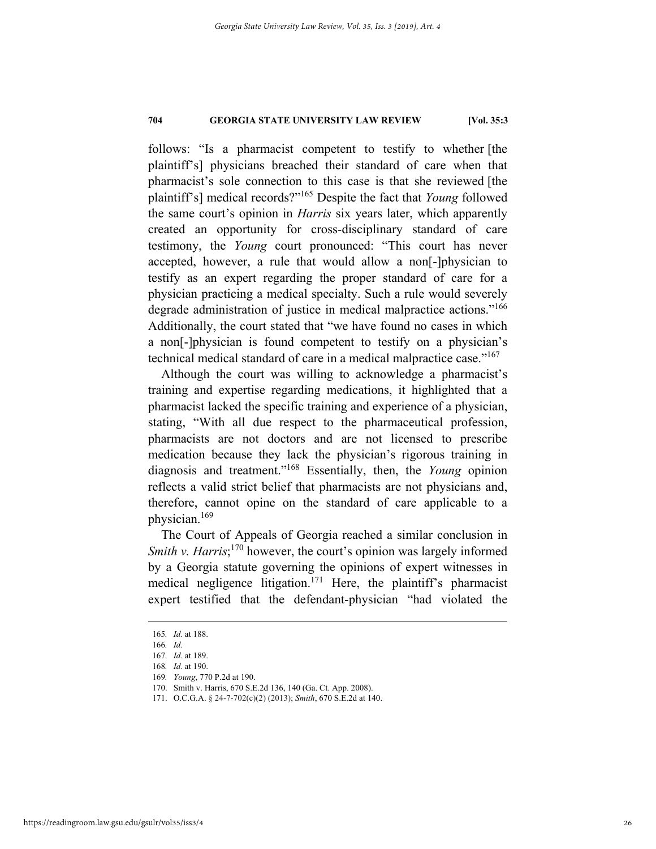follows: "Is a pharmacist competent to testify to whether [the plaintiff's] physicians breached their standard of care when that pharmacist's sole connection to this case is that she reviewed [the plaintiff's] medical records?"165 Despite the fact that *Young* followed the same court's opinion in *Harris* six years later, which apparently created an opportunity for cross-disciplinary standard of care testimony, the *Young* court pronounced: "This court has never accepted, however, a rule that would allow a non[-]physician to testify as an expert regarding the proper standard of care for a physician practicing a medical specialty. Such a rule would severely degrade administration of justice in medical malpractice actions."<sup>166</sup> Additionally, the court stated that "we have found no cases in which a non[-]physician is found competent to testify on a physician's technical medical standard of care in a medical malpractice case."167

Although the court was willing to acknowledge a pharmacist's training and expertise regarding medications, it highlighted that a pharmacist lacked the specific training and experience of a physician, stating, "With all due respect to the pharmaceutical profession, pharmacists are not doctors and are not licensed to prescribe medication because they lack the physician's rigorous training in diagnosis and treatment."168 Essentially, then, the *Young* opinion reflects a valid strict belief that pharmacists are not physicians and, therefore, cannot opine on the standard of care applicable to a physician.169

The Court of Appeals of Georgia reached a similar conclusion in Smith v. Harris;<sup>170</sup> however, the court's opinion was largely informed by a Georgia statute governing the opinions of expert witnesses in medical negligence litigation.171 Here, the plaintiff's pharmacist expert testified that the defendant-physician "had violated the

 <sup>165</sup>*. Id.* at 188.

<sup>166</sup>*. Id.*

<sup>167</sup>*. Id.* at 189.

<sup>168</sup>*. Id.* at 190.

<sup>169</sup>*. Young*, 770 P.2d at 190.

 <sup>170.</sup> Smith v. Harris, 670 S.E.2d 136, 140 (Ga. Ct. App. 2008).

 <sup>171.</sup> O.C.G.A. § 24-7-702(c)(2) (2013); *Smith*, 670 S.E.2d at 140.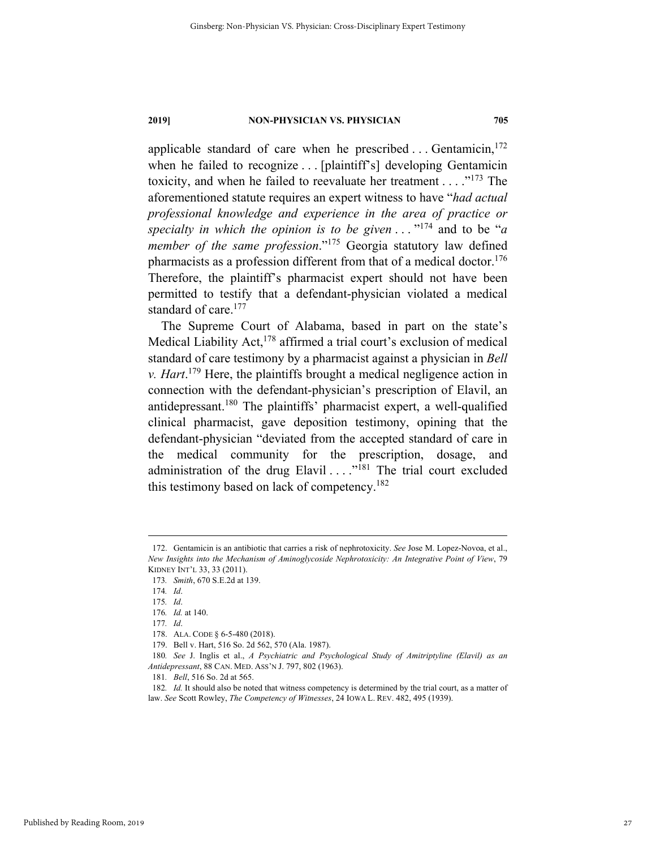applicable standard of care when he prescribed ... Gentamicin,  $172$ when he failed to recognize . . . [plaintiff's] developing Gentamicin toxicity, and when he failed to reevaluate her treatment  $\dots$  ."<sup>173</sup> The aforementioned statute requires an expert witness to have "*had actual professional knowledge and experience in the area of practice or specialty in which the opinion is to be given* . . . "174 and to be "*a member of the same profession*."<sup>175</sup> Georgia statutory law defined pharmacists as a profession different from that of a medical doctor.<sup>176</sup> Therefore, the plaintiff's pharmacist expert should not have been permitted to testify that a defendant-physician violated a medical standard of care.<sup>177</sup>

The Supreme Court of Alabama, based in part on the state's Medical Liability Act, $178$  affirmed a trial court's exclusion of medical standard of care testimony by a pharmacist against a physician in *Bell v. Hart*. 179 Here, the plaintiffs brought a medical negligence action in connection with the defendant-physician's prescription of Elavil, an antidepressant.<sup>180</sup> The plaintiffs' pharmacist expert, a well-qualified clinical pharmacist, gave deposition testimony, opining that the defendant-physician "deviated from the accepted standard of care in the medical community for the prescription, dosage, and administration of the drug Elavil  $\dots$ <sup>181</sup> The trial court excluded this testimony based on lack of competency.182

 <sup>172.</sup> Gentamicin is an antibiotic that carries a risk of nephrotoxicity. *See* Jose M. Lopez-Novoa, et al., *New Insights into the Mechanism of Aminoglycoside Nephrotoxicity: An Integrative Point of View*, 79 KIDNEY INT'L 33, 33 (2011).

<sup>173</sup>*. Smith*, 670 S.E.2d at 139.

<sup>174</sup>*. Id*.

<sup>175</sup>*. Id*.

<sup>176</sup>*. Id.* at 140.

<sup>177</sup>*. Id*.

 <sup>178.</sup> ALA. CODE § 6-5-480 (2018).

 <sup>179.</sup> Bell v. Hart, 516 So. 2d 562, 570 (Ala. 1987).

<sup>180</sup>*. See* J. Inglis et al., *A Psychiatric and Psychological Study of Amitriptyline (Elavil) as an Antidepressant*, 88 CAN. MED. ASS'N J. 797, 802 (1963).

<sup>181</sup>*. Bell*, 516 So. 2d at 565.

<sup>182</sup>*. Id.* It should also be noted that witness competency is determined by the trial court, as a matter of law. *See* Scott Rowley, *The Competency of Witnesses*, 24 IOWA L. REV. 482, 495 (1939).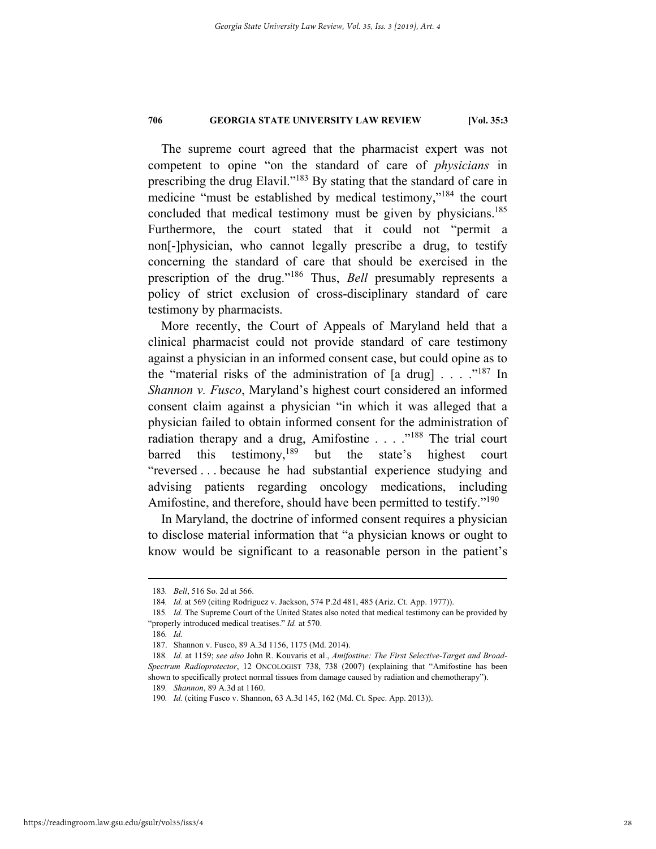The supreme court agreed that the pharmacist expert was not competent to opine "on the standard of care of *physicians* in prescribing the drug Elavil."183 By stating that the standard of care in medicine "must be established by medical testimony,"184 the court concluded that medical testimony must be given by physicians.<sup>185</sup> Furthermore, the court stated that it could not "permit a non[-]physician, who cannot legally prescribe a drug, to testify concerning the standard of care that should be exercised in the prescription of the drug."186 Thus, *Bell* presumably represents a policy of strict exclusion of cross-disciplinary standard of care testimony by pharmacists.

More recently, the Court of Appeals of Maryland held that a clinical pharmacist could not provide standard of care testimony against a physician in an informed consent case, but could opine as to the "material risks of the administration of  $[a \text{ drug}]$ ...."<sup>187</sup> In *Shannon v. Fusco*, Maryland's highest court considered an informed consent claim against a physician "in which it was alleged that a physician failed to obtain informed consent for the administration of radiation therapy and a drug, Amifostine . . . ."<sup>188</sup> The trial court barred this testimony,<sup>189</sup> but the state's highest court "reversed . . . because he had substantial experience studying and advising patients regarding oncology medications, including Amifostine, and therefore, should have been permitted to testify."<sup>190</sup>

In Maryland, the doctrine of informed consent requires a physician to disclose material information that "a physician knows or ought to know would be significant to a reasonable person in the patient's

 <sup>183</sup>*. Bell*, 516 So. 2d at 566.

<sup>184</sup>*. Id.* at 569 (citing Rodriguez v. Jackson, 574 P.2d 481, 485 (Ariz. Ct. App. 1977)).

<sup>185</sup>*. Id.* The Supreme Court of the United States also noted that medical testimony can be provided by "properly introduced medical treatises." *Id.* at 570.

<sup>186</sup>*. Id.*

 <sup>187.</sup> Shannon v. Fusco, 89 A.3d 1156, 1175 (Md. 2014).

<sup>188</sup>*. Id.* at 1159; *see also* John R. Kouvaris et al., *Amifostine: The First Selective-Target and Broad-Spectrum Radioprotector*, 12 ONCOLOGIST 738, 738 (2007) (explaining that "Amifostine has been shown to specifically protect normal tissues from damage caused by radiation and chemotherapy").

<sup>189</sup>*. Shannon*, 89 A.3d at 1160.

<sup>190</sup>*. Id.* (citing Fusco v. Shannon, 63 A.3d 145, 162 (Md. Ct. Spec. App. 2013)).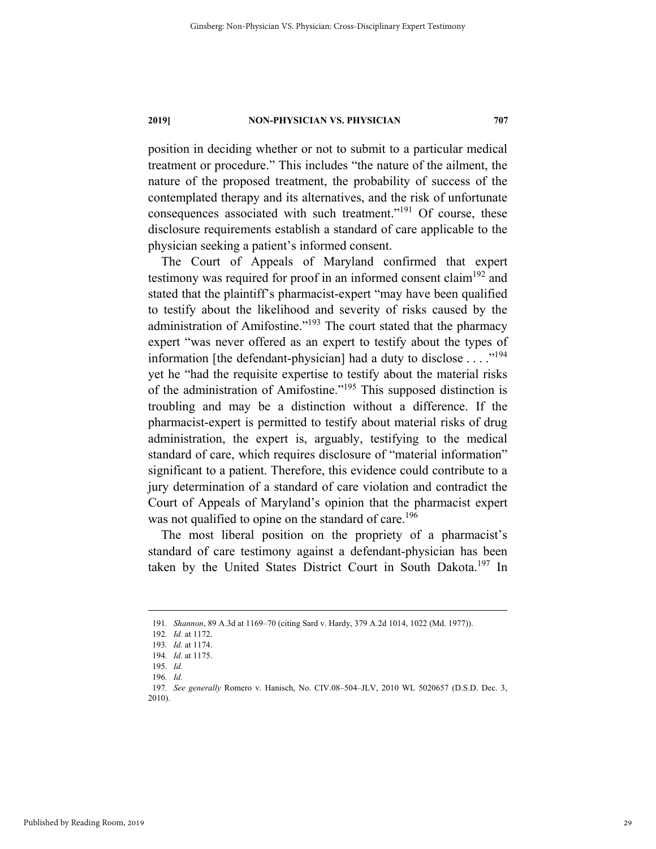position in deciding whether or not to submit to a particular medical treatment or procedure." This includes "the nature of the ailment, the nature of the proposed treatment, the probability of success of the contemplated therapy and its alternatives, and the risk of unfortunate consequences associated with such treatment."191 Of course, these disclosure requirements establish a standard of care applicable to the physician seeking a patient's informed consent.

The Court of Appeals of Maryland confirmed that expert testimony was required for proof in an informed consent claim<sup>192</sup> and stated that the plaintiff's pharmacist-expert "may have been qualified to testify about the likelihood and severity of risks caused by the administration of Amifostine."193 The court stated that the pharmacy expert "was never offered as an expert to testify about the types of information [the defendant-physician] had a duty to disclose  $\dots$ ."<sup>194</sup> yet he "had the requisite expertise to testify about the material risks of the administration of Amifostine."195 This supposed distinction is troubling and may be a distinction without a difference. If the pharmacist-expert is permitted to testify about material risks of drug administration, the expert is, arguably, testifying to the medical standard of care, which requires disclosure of "material information" significant to a patient. Therefore, this evidence could contribute to a jury determination of a standard of care violation and contradict the Court of Appeals of Maryland's opinion that the pharmacist expert was not qualified to opine on the standard of care.<sup>196</sup>

The most liberal position on the propriety of a pharmacist's standard of care testimony against a defendant-physician has been taken by the United States District Court in South Dakota.<sup>197</sup> In

 <sup>191</sup>*. Shannon*, 89 A.3d at 1169–70 (citing Sard v. Hardy, 379 A.2d 1014, 1022 (Md. 1977)).

<sup>192</sup>*. Id.* at 1172.

<sup>193</sup>*. Id.* at 1174.

<sup>194</sup>*. Id.* at 1175.

<sup>195</sup>*. Id.* 

<sup>196</sup>*. Id.* 

<sup>197</sup>*. See generally* Romero v. Hanisch, No. CIV.08–504–JLV, 2010 WL 5020657 (D.S.D. Dec. 3, 2010).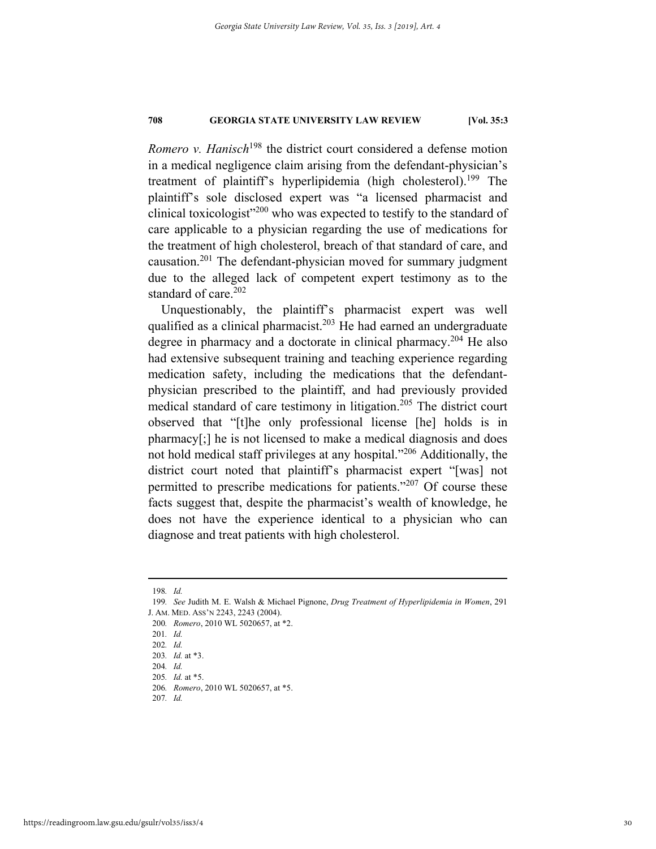*Romero v. Hanisch*<sup>198</sup> the district court considered a defense motion in a medical negligence claim arising from the defendant-physician's treatment of plaintiff's hyperlipidemia (high cholesterol).<sup>199</sup> The plaintiff's sole disclosed expert was "a licensed pharmacist and clinical toxicologist $^{\prime\prime200}$  who was expected to testify to the standard of care applicable to a physician regarding the use of medications for the treatment of high cholesterol, breach of that standard of care, and causation.201 The defendant-physician moved for summary judgment due to the alleged lack of competent expert testimony as to the standard of care. $202$ 

Unquestionably, the plaintiff's pharmacist expert was well qualified as a clinical pharmacist.<sup>203</sup> He had earned an undergraduate degree in pharmacy and a doctorate in clinical pharmacy.<sup>204</sup> He also had extensive subsequent training and teaching experience regarding medication safety, including the medications that the defendantphysician prescribed to the plaintiff, and had previously provided medical standard of care testimony in litigation.<sup>205</sup> The district court observed that "[t]he only professional license [he] holds is in pharmacy[;] he is not licensed to make a medical diagnosis and does not hold medical staff privileges at any hospital."206 Additionally, the district court noted that plaintiff's pharmacist expert "[was] not permitted to prescribe medications for patients."207 Of course these facts suggest that, despite the pharmacist's wealth of knowledge, he does not have the experience identical to a physician who can diagnose and treat patients with high cholesterol.

 <sup>198</sup>*. Id.* 

<sup>199</sup>*. See* Judith M. E. Walsh & Michael Pignone, *Drug Treatment of Hyperlipidemia in Women*, 291 J. AM. MED. ASS'N 2243, 2243 (2004).

<sup>200</sup>*. Romero*, 2010 WL 5020657, at \*2.

<sup>201</sup>*. Id.*

<sup>202</sup>*. Id.* 

<sup>203</sup>*. Id.* at \*3.

<sup>204</sup>*. Id.* 

<sup>205</sup>*. Id.* at \*5.

<sup>206</sup>*. Romero*, 2010 WL 5020657, at \*5.

<sup>207</sup>*. Id.*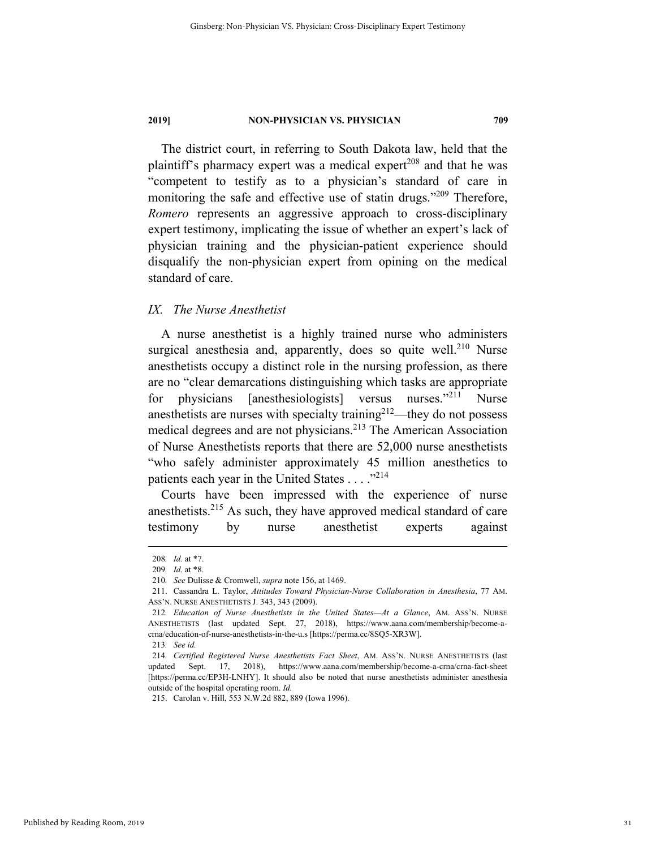The district court, in referring to South Dakota law, held that the plaintiff's pharmacy expert was a medical expert<sup>208</sup> and that he was "competent to testify as to a physician's standard of care in monitoring the safe and effective use of statin drugs."<sup>209</sup> Therefore, *Romero* represents an aggressive approach to cross-disciplinary expert testimony, implicating the issue of whether an expert's lack of physician training and the physician-patient experience should disqualify the non-physician expert from opining on the medical standard of care.

#### *IX. The Nurse Anesthetist*

A nurse anesthetist is a highly trained nurse who administers surgical anesthesia and, apparently, does so quite well.<sup>210</sup> Nurse anesthetists occupy a distinct role in the nursing profession, as there are no "clear demarcations distinguishing which tasks are appropriate for physicians [anesthesiologists] versus nurses."211 Nurse anesthetists are nurses with specialty training $2^{12}$ —they do not possess medical degrees and are not physicians.213 The American Association of Nurse Anesthetists reports that there are 52,000 nurse anesthetists "who safely administer approximately 45 million anesthetics to patients each year in the United States  $\dots$  ."<sup>214</sup>

Courts have been impressed with the experience of nurse anesthetists.215 As such, they have approved medical standard of care testimony by nurse anesthetist experts against

 <sup>208</sup>*. Id.* at \*7.

<sup>209</sup>*. Id.* at \*8.

<sup>210</sup>*. See* Dulisse & Cromwell, *supra* note 156, at 1469.

 <sup>211.</sup> Cassandra L. Taylor, *Attitudes Toward Physician-Nurse Collaboration in Anesthesia*, 77 AM. ASS'N. NURSE ANESTHETISTS J. 343, 343 (2009).

<sup>212</sup>*. Education of Nurse Anesthetists in the United States—At a Glance*, AM. ASS'N. NURSE ANESTHETISTS (last updated Sept. 27, 2018), https://www.aana.com/membership/become-acrna/education-of-nurse-anesthetists-in-the-u.s [https://perma.cc/8SQ5-XR3W].

<sup>213</sup>*. See id.*

<sup>214</sup>*. Certified Registered Nurse Anesthetists Fact Sheet*, AM. ASS'N. NURSE ANESTHETISTS (last updated Sept. 17, 2018), https://www.aana.com/membership/become-a-crna/crna-fact-sheet [https://perma.cc/EP3H-LNHY]. It should also be noted that nurse anesthetists administer anesthesia outside of the hospital operating room. *Id.*

 <sup>215.</sup> Carolan v. Hill, 553 N.W.2d 882, 889 (Iowa 1996).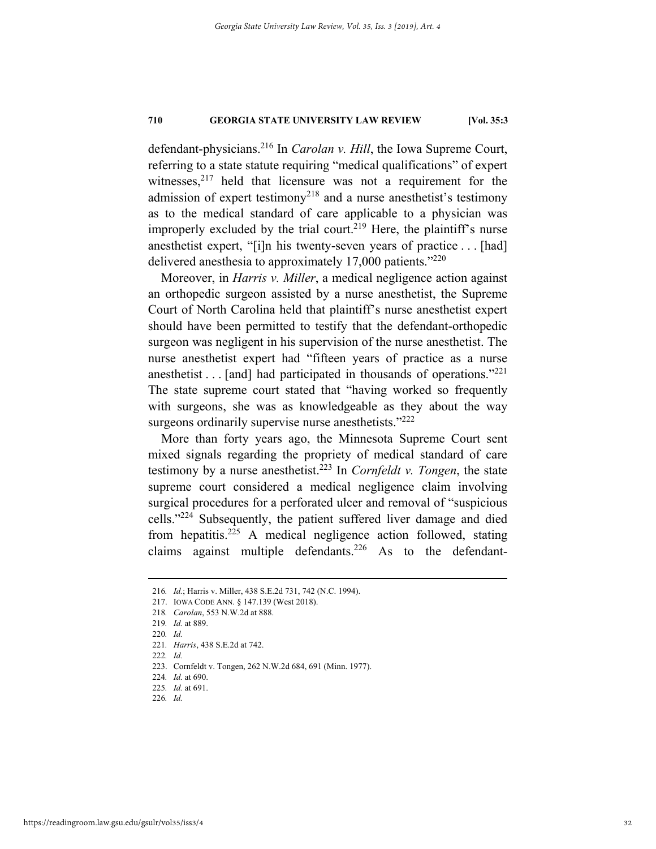defendant-physicians.216 In *Carolan v. Hill*, the Iowa Supreme Court, referring to a state statute requiring "medical qualifications" of expert witnesses,  $2^{17}$  held that licensure was not a requirement for the admission of expert testimony<sup>218</sup> and a nurse anesthetist's testimony as to the medical standard of care applicable to a physician was improperly excluded by the trial court.<sup>219</sup> Here, the plaintiff's nurse anesthetist expert, "[i]n his twenty-seven years of practice . . . [had] delivered anesthesia to approximately 17,000 patients."<sup>220</sup>

Moreover, in *Harris v. Miller*, a medical negligence action against an orthopedic surgeon assisted by a nurse anesthetist, the Supreme Court of North Carolina held that plaintiff's nurse anesthetist expert should have been permitted to testify that the defendant-orthopedic surgeon was negligent in his supervision of the nurse anesthetist. The nurse anesthetist expert had "fifteen years of practice as a nurse anesthetist  $\dots$  [and] had participated in thousands of operations."<sup>221</sup> The state supreme court stated that "having worked so frequently with surgeons, she was as knowledgeable as they about the way surgeons ordinarily supervise nurse anesthetists."<sup>222</sup>

More than forty years ago, the Minnesota Supreme Court sent mixed signals regarding the propriety of medical standard of care testimony by a nurse anesthetist.223 In *Cornfeldt v. Tongen*, the state supreme court considered a medical negligence claim involving surgical procedures for a perforated ulcer and removal of "suspicious cells."224 Subsequently, the patient suffered liver damage and died from hepatitis.<sup>225</sup> A medical negligence action followed, stating claims against multiple defendants.<sup>226</sup> As to the defendant-

222*. Id.* 

 <sup>216</sup>*. Id.*; Harris v. Miller, 438 S.E.2d 731, 742 (N.C. 1994).

 <sup>217.</sup> IOWA CODE ANN. § 147.139 (West 2018).

<sup>218</sup>*. Carolan*, 553 N.W.2d at 888.

<sup>219</sup>*. Id.* at 889.

<sup>220</sup>*. Id.* 

<sup>221</sup>*. Harris*, 438 S.E.2d at 742.

 <sup>223.</sup> Cornfeldt v. Tongen, 262 N.W.2d 684, 691 (Minn. 1977).

<sup>224</sup>*. Id.* at 690.

<sup>225</sup>*. Id.* at 691.

<sup>226</sup>*. Id.*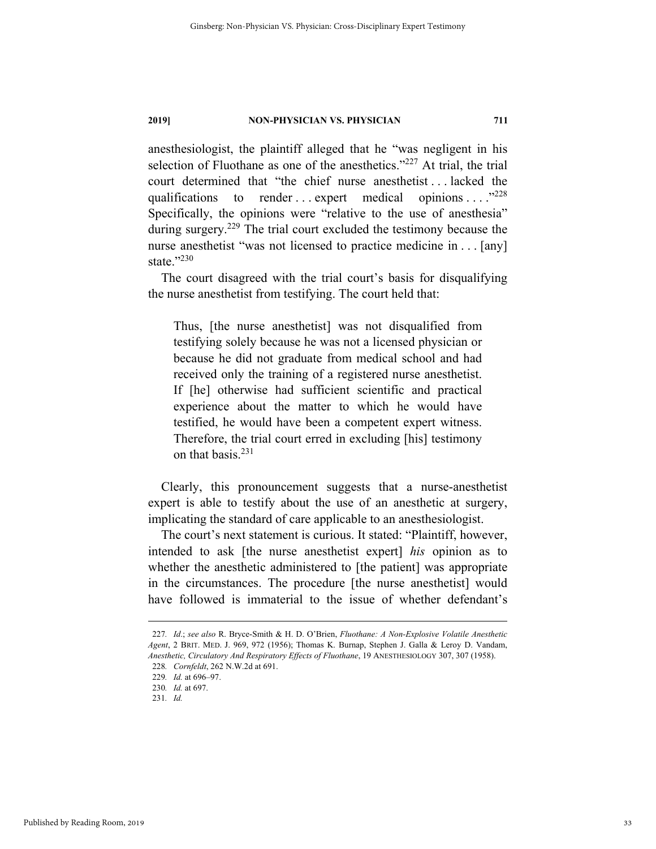anesthesiologist, the plaintiff alleged that he "was negligent in his selection of Fluothane as one of the anesthetics."<sup>227</sup> At trial, the trial court determined that "the chief nurse anesthetist . . . lacked the qualifications to render ... expert medical opinions ...  $.^{"228}$ Specifically, the opinions were "relative to the use of anesthesia" during surgery.<sup>229</sup> The trial court excluded the testimony because the nurse anesthetist "was not licensed to practice medicine in . . . [any] state."230

The court disagreed with the trial court's basis for disqualifying the nurse anesthetist from testifying. The court held that:

Thus, [the nurse anesthetist] was not disqualified from testifying solely because he was not a licensed physician or because he did not graduate from medical school and had received only the training of a registered nurse anesthetist. If [he] otherwise had sufficient scientific and practical experience about the matter to which he would have testified, he would have been a competent expert witness. Therefore, the trial court erred in excluding [his] testimony on that basis.<sup>231</sup>

Clearly, this pronouncement suggests that a nurse-anesthetist expert is able to testify about the use of an anesthetic at surgery, implicating the standard of care applicable to an anesthesiologist.

The court's next statement is curious. It stated: "Plaintiff, however, intended to ask [the nurse anesthetist expert] *his* opinion as to whether the anesthetic administered to [the patient] was appropriate in the circumstances. The procedure [the nurse anesthetist] would have followed is immaterial to the issue of whether defendant's

 <sup>227</sup>*. Id*.; *see also* R. Bryce-Smith & H. D. O'Brien, *Fluothane: A Non-Explosive Volatile Anesthetic Agent*, 2 BRIT. MED. J. 969, 972 (1956); Thomas K. Burnap, Stephen J. Galla & Leroy D. Vandam, *Anesthetic, Circulatory And Respiratory Effects of Fluothane*, 19 ANESTHESIOLOGY 307, 307 (1958). 228*. Cornfeldt*, 262 N.W.2d at 691.

<sup>229</sup>*. Id.* at 696–97.

<sup>230</sup>*. Id.* at 697.

<sup>231</sup>*. Id.*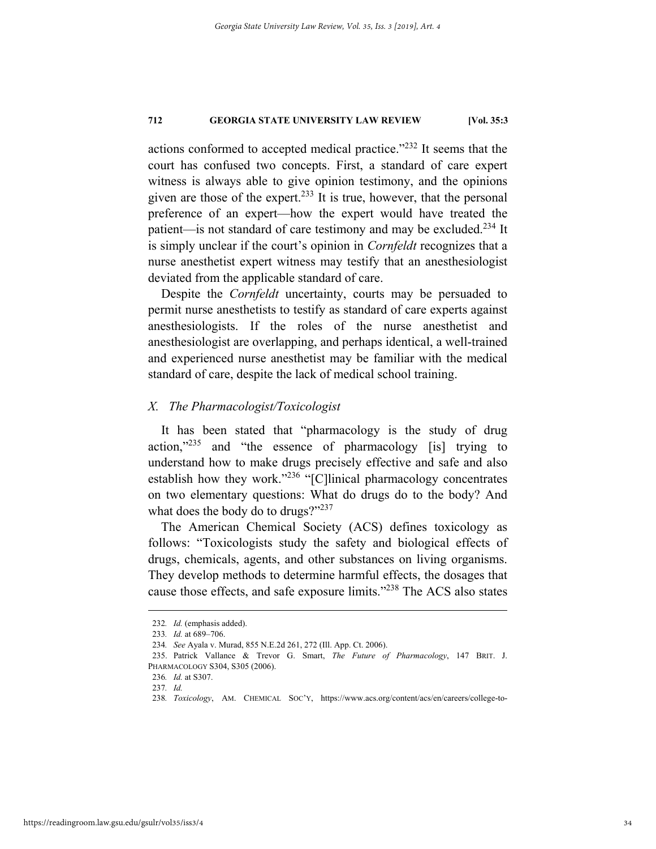actions conformed to accepted medical practice."232 It seems that the court has confused two concepts. First, a standard of care expert witness is always able to give opinion testimony, and the opinions given are those of the expert.<sup>233</sup> It is true, however, that the personal preference of an expert—how the expert would have treated the patient—is not standard of care testimony and may be excluded.<sup>234</sup> It is simply unclear if the court's opinion in *Cornfeldt* recognizes that a nurse anesthetist expert witness may testify that an anesthesiologist deviated from the applicable standard of care.

Despite the *Cornfeldt* uncertainty, courts may be persuaded to permit nurse anesthetists to testify as standard of care experts against anesthesiologists. If the roles of the nurse anesthetist and anesthesiologist are overlapping, and perhaps identical, a well-trained and experienced nurse anesthetist may be familiar with the medical standard of care, despite the lack of medical school training.

### *X. The Pharmacologist/Toxicologist*

It has been stated that "pharmacology is the study of drug action,"235 and "the essence of pharmacology [is] trying to understand how to make drugs precisely effective and safe and also establish how they work."<sup>236</sup> "[C]linical pharmacology concentrates on two elementary questions: What do drugs do to the body? And what does the body do to drugs?"237

The American Chemical Society (ACS) defines toxicology as follows: "Toxicologists study the safety and biological effects of drugs, chemicals, agents, and other substances on living organisms. They develop methods to determine harmful effects, the dosages that cause those effects, and safe exposure limits."<sup>238</sup> The ACS also states

<sup>232.</sup> *Id.* (emphasis added).

<sup>233</sup>*. Id.* at 689–706.

<sup>234</sup>*. See* Ayala v. Murad, 855 N.E.2d 261, 272 (Ill. App. Ct. 2006).

 <sup>235.</sup> Patrick Vallance & Trevor G. Smart, *The Future of Pharmacology*, 147 BRIT. J. PHARMACOLOGY S304, S305 (2006).

<sup>236</sup>*. Id.* at S307.

<sup>237</sup>*. Id.* 

<sup>238</sup>*. Toxicology*, AM. CHEMICAL SOC'Y, https://www.acs.org/content/acs/en/careers/college-to-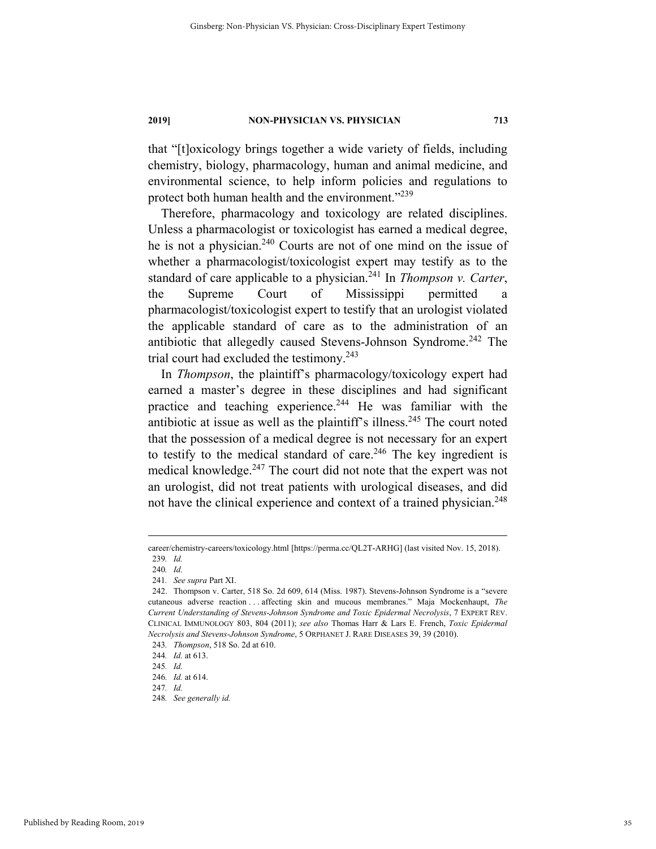that "[t]oxicology brings together a wide variety of fields, including chemistry, biology, pharmacology, human and animal medicine, and environmental science, to help inform policies and regulations to protect both human health and the environment."<sup>239</sup>

Therefore, pharmacology and toxicology are related disciplines. Unless a pharmacologist or toxicologist has earned a medical degree, he is not a physician.<sup>240</sup> Courts are not of one mind on the issue of whether a pharmacologist/toxicologist expert may testify as to the standard of care applicable to a physician.241 In *Thompson v. Carter*, the Supreme Court of Mississippi permitted a pharmacologist/toxicologist expert to testify that an urologist violated the applicable standard of care as to the administration of an antibiotic that allegedly caused Stevens-Johnson Syndrome.<sup>242</sup> The trial court had excluded the testimony. $243$ 

In *Thompson*, the plaintiff's pharmacology/toxicology expert had earned a master's degree in these disciplines and had significant practice and teaching experience.<sup>244</sup> He was familiar with the antibiotic at issue as well as the plaintiff's illness.<sup>245</sup> The court noted that the possession of a medical degree is not necessary for an expert to testify to the medical standard of care.<sup>246</sup> The key ingredient is medical knowledge.<sup>247</sup> The court did not note that the expert was not an urologist, did not treat patients with urological diseases, and did not have the clinical experience and context of a trained physician.<sup>248</sup>

240*. Id.* 

career/chemistry-careers/toxicology.html [https://perma.cc/QL2T-ARHG] (last visited Nov. 15, 2018). 239*. Id.* 

<sup>241</sup>*. See supra* Part XI.

 <sup>242.</sup> Thompson v. Carter, 518 So. 2d 609, 614 (Miss. 1987). Stevens-Johnson Syndrome is a "severe cutaneous adverse reaction . . . affecting skin and mucous membranes." Maja Mockenhaupt, *The Current Understanding of Stevens-Johnson Syndrome and Toxic Epidermal Necrolysis*, 7 EXPERT REV. CLINICAL IMMUNOLOGY 803, 804 (2011); *see also* Thomas Harr & Lars E. French, *Toxic Epidermal Necrolysis and Stevens-Johnson Syndrome*, 5 ORPHANET J. RARE DISEASES 39, 39 (2010).

<sup>243</sup>*. Thompson*, 518 So. 2d at 610.

<sup>244</sup>*. Id.* at 613.

<sup>245</sup>*. Id.*

<sup>246</sup>*. Id.* at 614.

<sup>247</sup>*. Id.*

<sup>248</sup>*. See generally id.*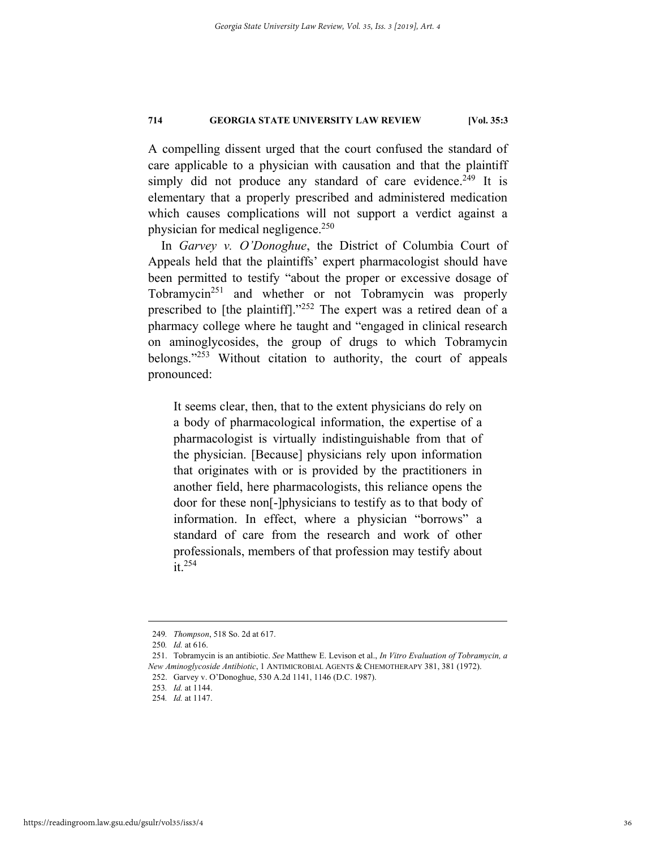A compelling dissent urged that the court confused the standard of care applicable to a physician with causation and that the plaintiff simply did not produce any standard of care evidence.<sup>249</sup> It is elementary that a properly prescribed and administered medication which causes complications will not support a verdict against a physician for medical negligence.<sup>250</sup>

In *Garvey v. O'Donoghue*, the District of Columbia Court of Appeals held that the plaintiffs' expert pharmacologist should have been permitted to testify "about the proper or excessive dosage of Tobramycin<sup>251</sup> and whether or not Tobramycin was properly prescribed to [the plaintiff]."252 The expert was a retired dean of a pharmacy college where he taught and "engaged in clinical research on aminoglycosides, the group of drugs to which Tobramycin belongs."253 Without citation to authority, the court of appeals pronounced:

It seems clear, then, that to the extent physicians do rely on a body of pharmacological information, the expertise of a pharmacologist is virtually indistinguishable from that of the physician. [Because] physicians rely upon information that originates with or is provided by the practitioners in another field, here pharmacologists, this reliance opens the door for these non[-]physicians to testify as to that body of information. In effect, where a physician "borrows" a standard of care from the research and work of other professionals, members of that profession may testify about it.254

 <sup>249</sup>*. Thompson*, 518 So. 2d at 617.

<sup>250</sup>*. Id.* at 616.

 <sup>251.</sup> Tobramycin is an antibiotic. *See* Matthew E. Levison et al., *In Vitro Evaluation of Tobramycin, a New Aminoglycoside Antibiotic*, 1 ANTIMICROBIAL AGENTS & CHEMOTHERAPY 381, 381 (1972).

 <sup>252.</sup> Garvey v. O'Donoghue, 530 A.2d 1141, 1146 (D.C. 1987).

<sup>253</sup>*. Id.* at 1144.

<sup>254</sup>*. Id.* at 1147.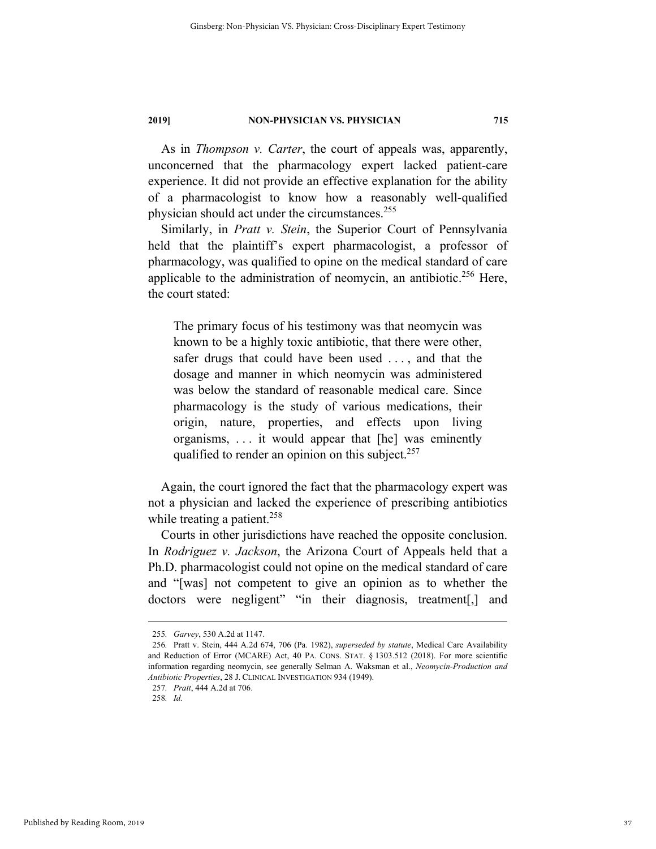As in *Thompson v. Carter*, the court of appeals was, apparently, unconcerned that the pharmacology expert lacked patient-care experience. It did not provide an effective explanation for the ability of a pharmacologist to know how a reasonably well-qualified physician should act under the circumstances.<sup>255</sup>

Similarly, in *Pratt v. Stein*, the Superior Court of Pennsylvania held that the plaintiff's expert pharmacologist, a professor of pharmacology, was qualified to opine on the medical standard of care applicable to the administration of neomycin, an antibiotic.<sup>256</sup> Here, the court stated:

The primary focus of his testimony was that neomycin was known to be a highly toxic antibiotic, that there were other, safer drugs that could have been used . . . , and that the dosage and manner in which neomycin was administered was below the standard of reasonable medical care. Since pharmacology is the study of various medications, their origin, nature, properties, and effects upon living organisms, . . . it would appear that [he] was eminently qualified to render an opinion on this subject.<sup>257</sup>

Again, the court ignored the fact that the pharmacology expert was not a physician and lacked the experience of prescribing antibiotics while treating a patient.<sup>258</sup>

Courts in other jurisdictions have reached the opposite conclusion. In *Rodriguez v. Jackson*, the Arizona Court of Appeals held that a Ph.D. pharmacologist could not opine on the medical standard of care and "[was] not competent to give an opinion as to whether the doctors were negligent" "in their diagnosis, treatment[,] and

257*. Pratt*, 444 A.2d at 706.

 <sup>255</sup>*. Garvey*, 530 A.2d at 1147.

<sup>256</sup>*.* Pratt v. Stein, 444 A.2d 674, 706 (Pa. 1982), *superseded by statute*, Medical Care Availability and Reduction of Error (MCARE) Act, 40 PA. CONS. STAT. § 1303.512 (2018). For more scientific information regarding neomycin, see generally Selman A. Waksman et al., *Neomycin-Production and Antibiotic Properties*, 28 J. CLINICAL INVESTIGATION 934 (1949).

<sup>258</sup>*. Id.*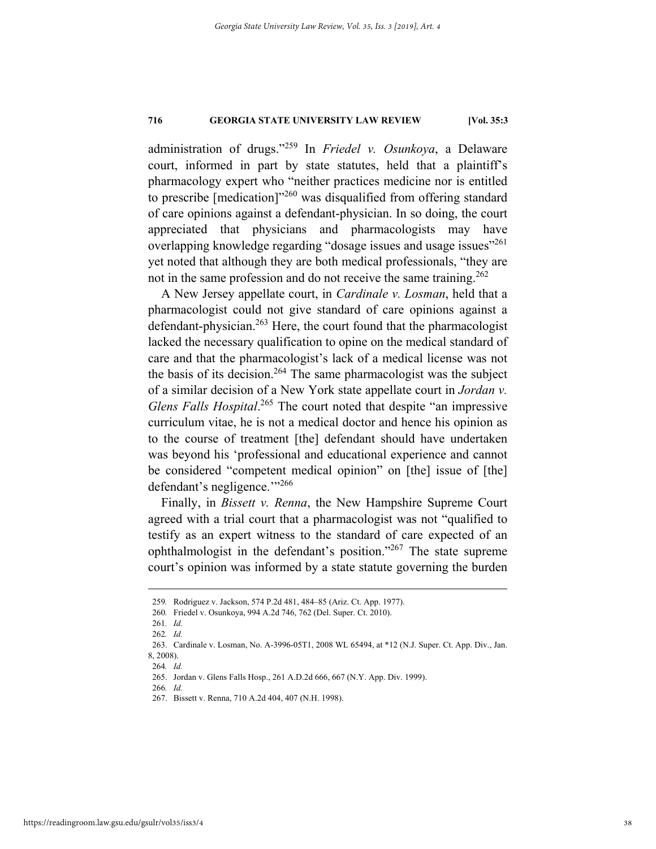administration of drugs."259 In *Friedel v. Osunkoya*, a Delaware court, informed in part by state statutes, held that a plaintiff's pharmacology expert who "neither practices medicine nor is entitled to prescribe  $[mediation]^{260}$  was disqualified from offering standard of care opinions against a defendant-physician. In so doing, the court appreciated that physicians and pharmacologists may have overlapping knowledge regarding "dosage issues and usage issues"<sup>261</sup> yet noted that although they are both medical professionals, "they are not in the same profession and do not receive the same training.<sup>262</sup>

A New Jersey appellate court, in *Cardinale v. Losman*, held that a pharmacologist could not give standard of care opinions against a defendant-physician.<sup>263</sup> Here, the court found that the pharmacologist lacked the necessary qualification to opine on the medical standard of care and that the pharmacologist's lack of a medical license was not the basis of its decision.<sup>264</sup> The same pharmacologist was the subject of a similar decision of a New York state appellate court in *Jordan v.*  Glens Falls Hospital.<sup>265</sup> The court noted that despite "an impressive curriculum vitae, he is not a medical doctor and hence his opinion as to the course of treatment [the] defendant should have undertaken was beyond his 'professional and educational experience and cannot be considered "competent medical opinion" on [the] issue of [the] defendant's negligence."<sup>266</sup>

Finally, in *Bissett v. Renna*, the New Hampshire Supreme Court agreed with a trial court that a pharmacologist was not "qualified to testify as an expert witness to the standard of care expected of an ophthalmologist in the defendant's position."267 The state supreme court's opinion was informed by a state statute governing the burden

266*. Id.*

 <sup>259</sup>*.* Rodriguez v. Jackson, 574 P.2d 481, 484–85 (Ariz. Ct. App. 1977).

<sup>260</sup>*.* Friedel v. Osunkoya, 994 A.2d 746, 762 (Del. Super. Ct. 2010).

<sup>261</sup>*. Id.* 

<sup>262</sup>*. Id.* 

 <sup>263.</sup> Cardinale v. Losman, No. A-3996-05T1, 2008 WL 65494, at \*12 (N.J. Super. Ct. App. Div., Jan. 8, 2008).

<sup>264</sup>*. Id.*

 <sup>265.</sup> Jordan v. Glens Falls Hosp., 261 A.D.2d 666, 667 (N.Y. App. Div. 1999).

 <sup>267.</sup> Bissett v. Renna, 710 A.2d 404, 407 (N.H. 1998).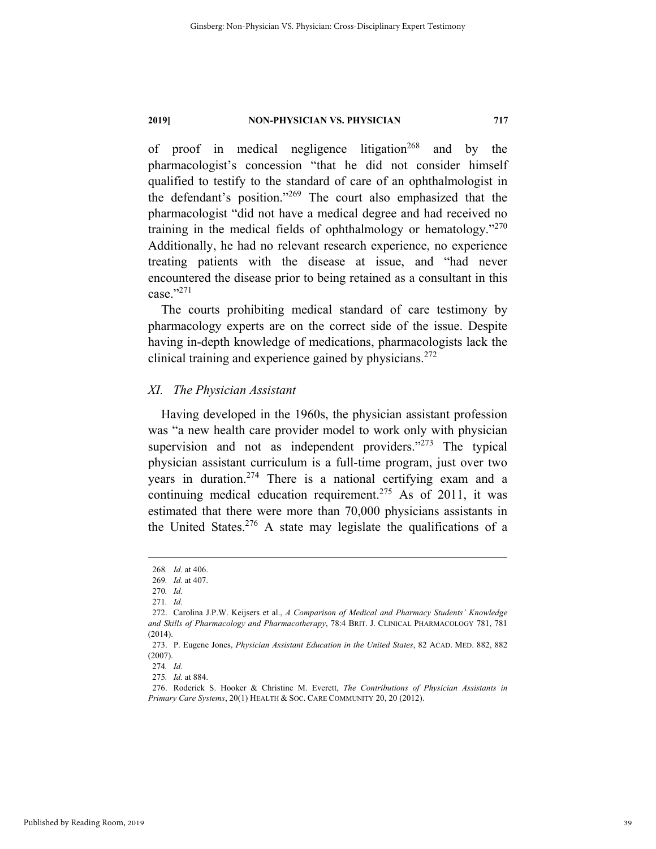of proof in medical negligence litigation<sup>268</sup> and by the pharmacologist's concession "that he did not consider himself qualified to testify to the standard of care of an ophthalmologist in the defendant's position."269 The court also emphasized that the pharmacologist "did not have a medical degree and had received no training in the medical fields of ophthalmology or hematology."270 Additionally, he had no relevant research experience, no experience treating patients with the disease at issue, and "had never encountered the disease prior to being retained as a consultant in this  $case."^{271}$ 

The courts prohibiting medical standard of care testimony by pharmacology experts are on the correct side of the issue. Despite having in-depth knowledge of medications, pharmacologists lack the clinical training and experience gained by physicians. $272$ 

#### *XI. The Physician Assistant*

Having developed in the 1960s, the physician assistant profession was "a new health care provider model to work only with physician supervision and not as independent providers."<sup>273</sup> The typical physician assistant curriculum is a full-time program, just over two years in duration.<sup>274</sup> There is a national certifying exam and a continuing medical education requirement.<sup>275</sup> As of 2011, it was estimated that there were more than 70,000 physicians assistants in the United States.<sup>276</sup> A state may legislate the qualifications of a

 <sup>268</sup>*. Id.* at 406.

<sup>269</sup>*. Id.* at 407.

<sup>270</sup>*. Id.*  271*. Id.*

 <sup>272.</sup> Carolina J.P.W. Keijsers et al., *A Comparison of Medical and Pharmacy Students' Knowledge and Skills of Pharmacology and Pharmacotherapy*, 78:4 BRIT. J. CLINICAL PHARMACOLOGY 781, 781 (2014).

 <sup>273.</sup> P. Eugene Jones, *Physician Assistant Education in the United States*, 82 ACAD. MED. 882, 882 (2007).

<sup>274</sup>*. Id.*

<sup>275</sup>*. Id.* at 884.

 <sup>276.</sup> Roderick S. Hooker & Christine M. Everett, *The Contributions of Physician Assistants in Primary Care Systems*, 20(1) HEALTH & SOC. CARE COMMUNITY 20, 20 (2012).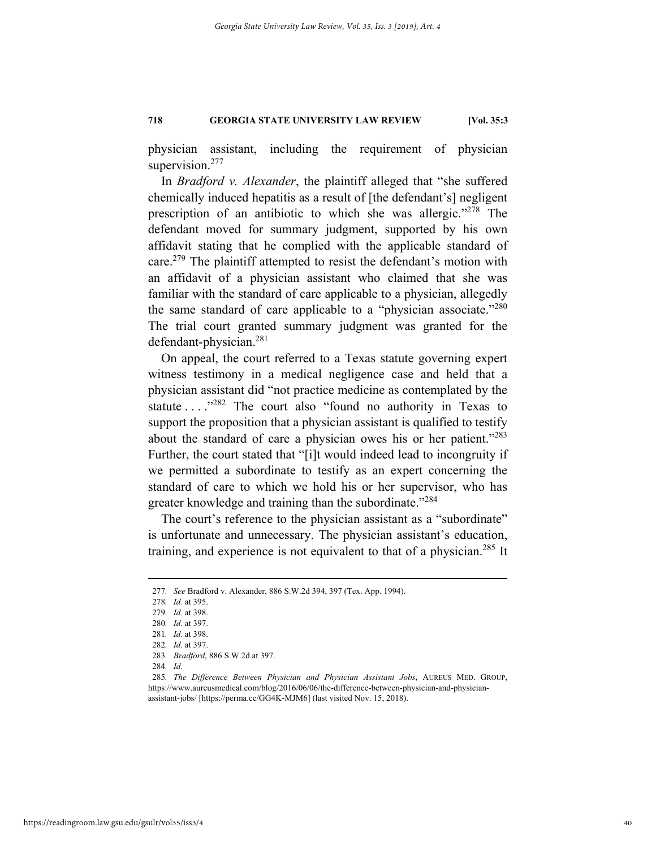physician assistant, including the requirement of physician supervision.<sup>277</sup>

In *Bradford v. Alexander*, the plaintiff alleged that "she suffered chemically induced hepatitis as a result of [the defendant's] negligent prescription of an antibiotic to which she was allergic."278 The defendant moved for summary judgment, supported by his own affidavit stating that he complied with the applicable standard of care.279 The plaintiff attempted to resist the defendant's motion with an affidavit of a physician assistant who claimed that she was familiar with the standard of care applicable to a physician, allegedly the same standard of care applicable to a "physician associate."280 The trial court granted summary judgment was granted for the defendant-physician.281

On appeal, the court referred to a Texas statute governing expert witness testimony in a medical negligence case and held that a physician assistant did "not practice medicine as contemplated by the statute . . . . <sup>7282</sup> The court also "found no authority in Texas to support the proposition that a physician assistant is qualified to testify about the standard of care a physician owes his or her patient."283 Further, the court stated that "[i]t would indeed lead to incongruity if we permitted a subordinate to testify as an expert concerning the standard of care to which we hold his or her supervisor, who has greater knowledge and training than the subordinate."<sup>284</sup>

The court's reference to the physician assistant as a "subordinate" is unfortunate and unnecessary. The physician assistant's education, training, and experience is not equivalent to that of a physician.<sup>285</sup> It

 <sup>277</sup>*. See* Bradford v. Alexander, 886 S.W.2d 394, 397 (Tex. App. 1994).

<sup>278</sup>*. Id.* at 395.

<sup>279</sup>*. Id.* at 398.

<sup>280</sup>*. Id.* at 397.

<sup>281</sup>*. Id.* at 398.

<sup>282</sup>*. Id.* at 397.

<sup>283</sup>*. Bradford*, 886 S.W.2d at 397.

<sup>284</sup>*. Id.*

<sup>285</sup>*. The Difference Between Physician and Physician Assistant Jobs*, AUREUS MED. GROUP, https://www.aureusmedical.com/blog/2016/06/06/the-difference-between-physician-and-physicianassistant-jobs/ [https://perma.cc/GG4K-MJM6] (last visited Nov. 15, 2018).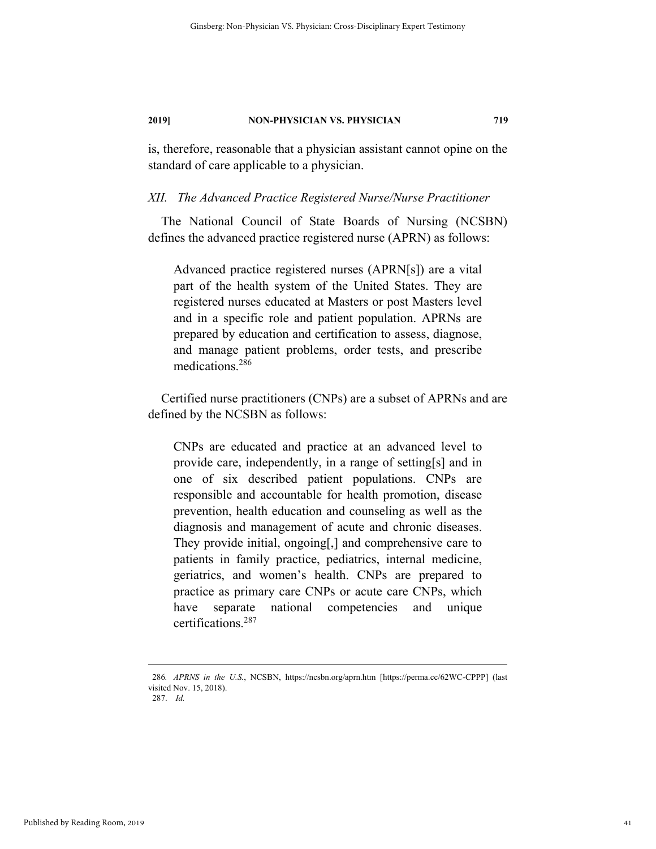is, therefore, reasonable that a physician assistant cannot opine on the standard of care applicable to a physician.

#### *XII. The Advanced Practice Registered Nurse/Nurse Practitioner*

The National Council of State Boards of Nursing (NCSBN) defines the advanced practice registered nurse (APRN) as follows:

Advanced practice registered nurses (APRN[s]) are a vital part of the health system of the United States. They are registered nurses educated at Masters or post Masters level and in a specific role and patient population. APRNs are prepared by education and certification to assess, diagnose, and manage patient problems, order tests, and prescribe medications.286

Certified nurse practitioners (CNPs) are a subset of APRNs and are defined by the NCSBN as follows:

CNPs are educated and practice at an advanced level to provide care, independently, in a range of setting[s] and in one of six described patient populations. CNPs are responsible and accountable for health promotion, disease prevention, health education and counseling as well as the diagnosis and management of acute and chronic diseases. They provide initial, ongoing[,] and comprehensive care to patients in family practice, pediatrics, internal medicine, geriatrics, and women's health. CNPs are prepared to practice as primary care CNPs or acute care CNPs, which have separate national competencies and unique certifications.287

 <sup>286</sup>*. APRNS in the U.S.*, NCSBN, https://ncsbn.org/aprn.htm [https://perma.cc/62WC-CPPP] (last visited Nov. 15, 2018). 287. *Id.*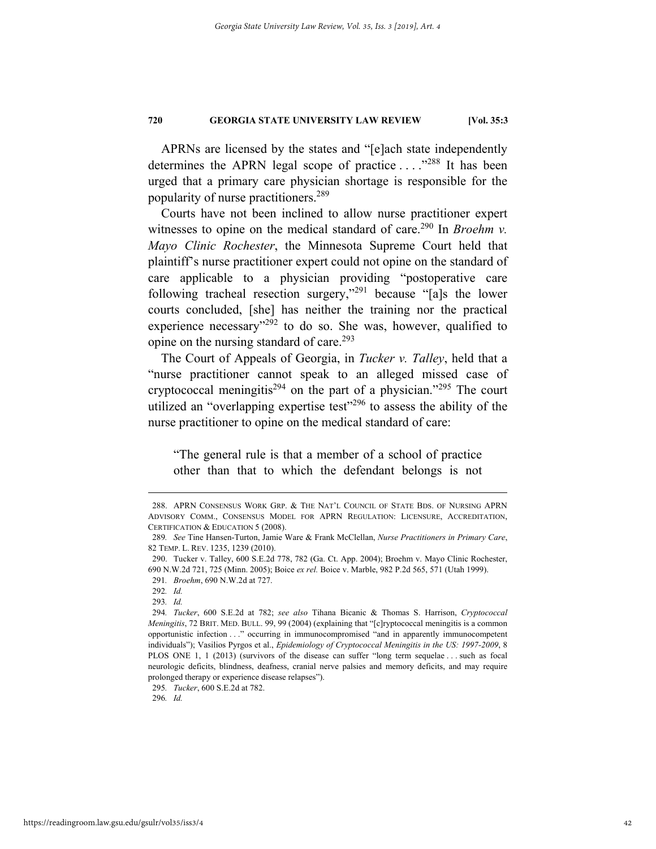APRNs are licensed by the states and "[e]ach state independently determines the APRN legal scope of practice ...."<sup>288</sup> It has been urged that a primary care physician shortage is responsible for the popularity of nurse practitioners.289

Courts have not been inclined to allow nurse practitioner expert witnesses to opine on the medical standard of care.<sup>290</sup> In *Broehm v*. *Mayo Clinic Rochester*, the Minnesota Supreme Court held that plaintiff's nurse practitioner expert could not opine on the standard of care applicable to a physician providing "postoperative care following tracheal resection surgery,"291 because "[a]s the lower courts concluded, [she] has neither the training nor the practical experience necessary<sup>3292</sup> to do so. She was, however, qualified to opine on the nursing standard of care.<sup>293</sup>

The Court of Appeals of Georgia, in *Tucker v. Talley*, held that a "nurse practitioner cannot speak to an alleged missed case of cryptococcal meningitis<sup>294</sup> on the part of a physician."<sup>295</sup> The court utilized an "overlapping expertise test"<sup>296</sup> to assess the ability of the nurse practitioner to opine on the medical standard of care:

"The general rule is that a member of a school of practice other than that to which the defendant belongs is not

295*. Tucker*, 600 S.E.2d at 782.

296*. Id.* 

 <sup>288.</sup> APRN CONSENSUS WORK GRP. & THE NAT'L COUNCIL OF STATE BDS. OF NURSING APRN ADVISORY COMM., CONSENSUS MODEL FOR APRN REGULATION: LICENSURE, ACCREDITATION, CERTIFICATION & EDUCATION 5 (2008).

<sup>289</sup>*. See* Tine Hansen-Turton, Jamie Ware & Frank McClellan, *Nurse Practitioners in Primary Care*, 82 TEMP. L. REV. 1235, 1239 (2010).

 <sup>290.</sup> Tucker v. Talley, 600 S.E.2d 778, 782 (Ga. Ct. App. 2004); Broehm v. Mayo Clinic Rochester, 690 N.W.2d 721, 725 (Minn. 2005); Boice *ex rel.* Boice v. Marble, 982 P.2d 565, 571 (Utah 1999).

<sup>291</sup>*. Broehm*, 690 N.W.2d at 727.

<sup>292</sup>*. Id.* 

<sup>293</sup>*. Id.*

<sup>294</sup>*. Tucker*, 600 S.E.2d at 782; *see also* Tihana Bicanic & Thomas S. Harrison, *Cryptococcal Meningitis*, 72 BRIT. MED. BULL. 99, 99 (2004) (explaining that "[c]ryptococcal meningitis is a common opportunistic infection . . ." occurring in immunocompromised "and in apparently immunocompetent individuals"); Vasilios Pyrgos et al., *Epidemiology of Cryptococcal Meningitis in the US: 1997-2009*, 8 PLOS ONE 1, 1 (2013) (survivors of the disease can suffer "long term sequelae . . . such as focal neurologic deficits, blindness, deafness, cranial nerve palsies and memory deficits, and may require prolonged therapy or experience disease relapses").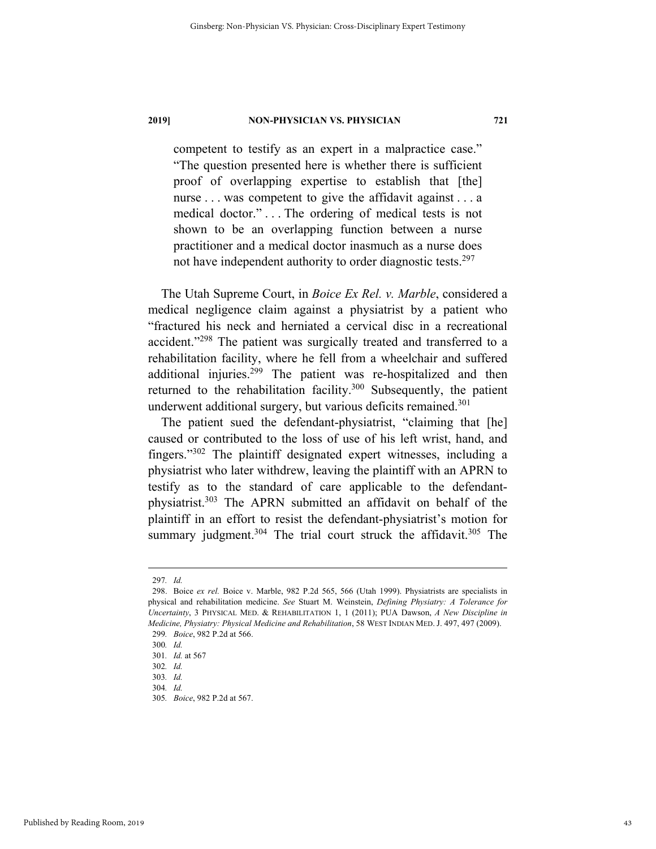competent to testify as an expert in a malpractice case." "The question presented here is whether there is sufficient proof of overlapping expertise to establish that [the] nurse . . . was competent to give the affidavit against . . . a medical doctor." . . . The ordering of medical tests is not shown to be an overlapping function between a nurse practitioner and a medical doctor inasmuch as a nurse does not have independent authority to order diagnostic tests.<sup>297</sup>

The Utah Supreme Court, in *Boice Ex Rel. v. Marble*, considered a medical negligence claim against a physiatrist by a patient who "fractured his neck and herniated a cervical disc in a recreational accident."298 The patient was surgically treated and transferred to a rehabilitation facility, where he fell from a wheelchair and suffered additional injuries.299 The patient was re-hospitalized and then returned to the rehabilitation facility.<sup>300</sup> Subsequently, the patient underwent additional surgery, but various deficits remained.<sup>301</sup>

The patient sued the defendant-physiatrist, "claiming that [he] caused or contributed to the loss of use of his left wrist, hand, and fingers."302 The plaintiff designated expert witnesses, including a physiatrist who later withdrew, leaving the plaintiff with an APRN to testify as to the standard of care applicable to the defendantphysiatrist.303 The APRN submitted an affidavit on behalf of the plaintiff in an effort to resist the defendant-physiatrist's motion for summary judgment.<sup>304</sup> The trial court struck the affidavit.<sup>305</sup> The

 <sup>297</sup>*. Id.*

 <sup>298.</sup> Boice *ex rel.* Boice v. Marble, 982 P.2d 565, 566 (Utah 1999). Physiatrists are specialists in physical and rehabilitation medicine. *See* Stuart M. Weinstein, *Defining Physiatry: A Tolerance for Uncertainty*, 3 PHYSICAL MED. & REHABILITATION 1, 1 (2011); PUA Dawson, *A New Discipline in Medicine, Physiatry: Physical Medicine and Rehabilitation*, 58 WEST INDIAN MED. J. 497, 497 (2009). 299*. Boice*, 982 P.2d at 566.

<sup>300</sup>*. Id.*

<sup>301</sup>*. Id.* at 567

<sup>302</sup>*. Id.*

<sup>303</sup>*. Id.*

<sup>304</sup>*. Id.*

<sup>305</sup>*. Boice*, 982 P.2d at 567.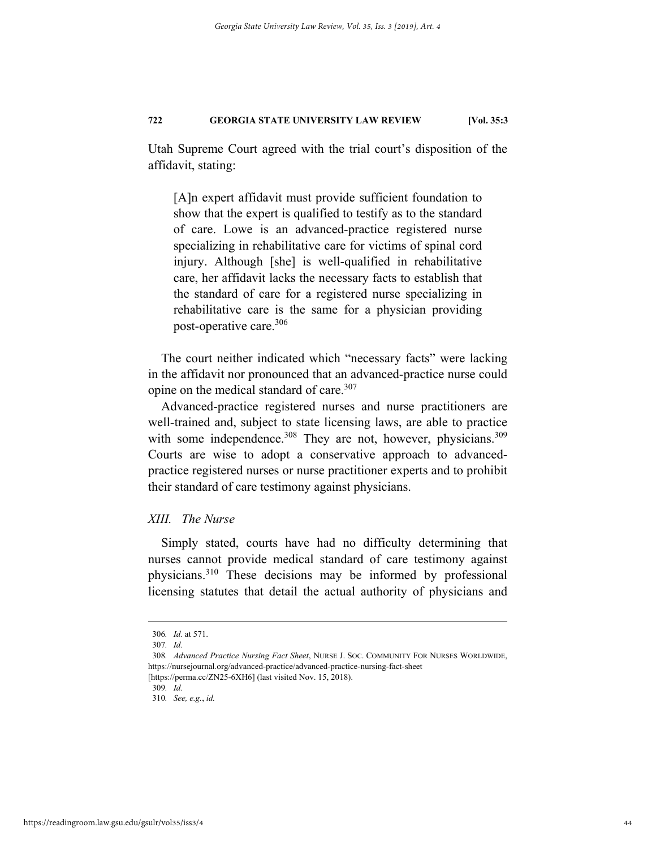Utah Supreme Court agreed with the trial court's disposition of the affidavit, stating:

[A]n expert affidavit must provide sufficient foundation to show that the expert is qualified to testify as to the standard of care. Lowe is an advanced-practice registered nurse specializing in rehabilitative care for victims of spinal cord injury. Although [she] is well-qualified in rehabilitative care, her affidavit lacks the necessary facts to establish that the standard of care for a registered nurse specializing in rehabilitative care is the same for a physician providing post-operative care.306

The court neither indicated which "necessary facts" were lacking in the affidavit nor pronounced that an advanced-practice nurse could opine on the medical standard of care.<sup>307</sup>

Advanced-practice registered nurses and nurse practitioners are well-trained and, subject to state licensing laws, are able to practice with some independence.<sup>308</sup> They are not, however, physicians.<sup>309</sup> Courts are wise to adopt a conservative approach to advancedpractice registered nurses or nurse practitioner experts and to prohibit their standard of care testimony against physicians.

#### *XIII. The Nurse*

Simply stated, courts have had no difficulty determining that nurses cannot provide medical standard of care testimony against physicians.310 These decisions may be informed by professional licensing statutes that detail the actual authority of physicians and

 <sup>306</sup>*. Id.* at 571.

<sup>307</sup>*. Id.*

<sup>308</sup>*. Advanced Practice Nursing Fact Sheet*, NURSE J. SOC. COMMUNITY FOR NURSES WORLDWIDE, https://nursejournal.org/advanced-practice/advanced-practice-nursing-fact-sheet

<sup>[</sup>https://perma.cc/ZN25-6XH6] (last visited Nov. 15, 2018).

<sup>309</sup>*. Id.*

<sup>310</sup>*. See, e.g.*, *id.*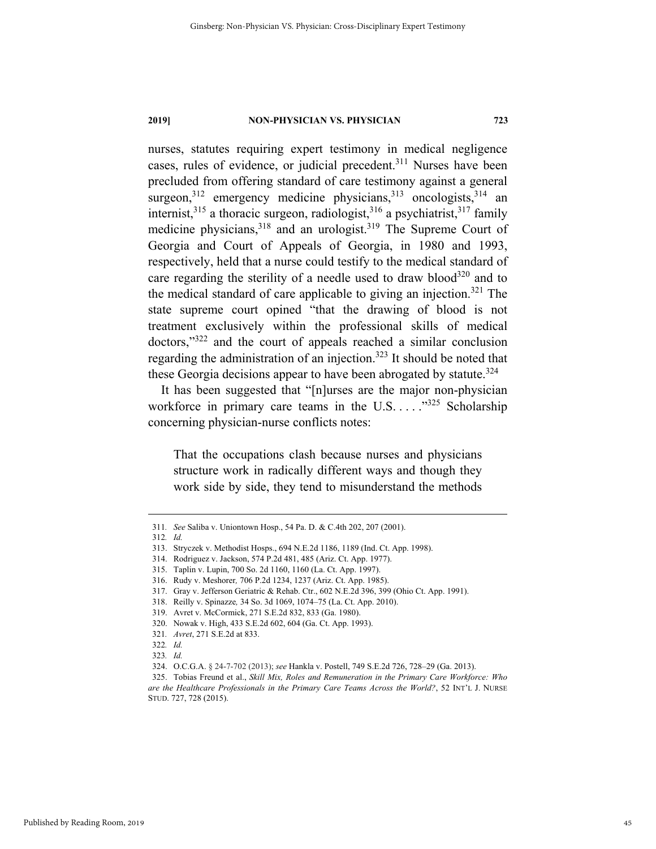nurses, statutes requiring expert testimony in medical negligence cases, rules of evidence, or judicial precedent.<sup>311</sup> Nurses have been precluded from offering standard of care testimony against a general surgeon,<sup>312</sup> emergency medicine physicians,<sup>313</sup> oncologists,<sup>314</sup> an internist,<sup>315</sup> a thoracic surgeon, radiologist,<sup>316</sup> a psychiatrist,<sup>317</sup> family medicine physicians,<sup>318</sup> and an urologist.<sup>319</sup> The Supreme Court of Georgia and Court of Appeals of Georgia, in 1980 and 1993, respectively, held that a nurse could testify to the medical standard of care regarding the sterility of a needle used to draw blood<sup>320</sup> and to the medical standard of care applicable to giving an injection.<sup>321</sup> The state supreme court opined "that the drawing of blood is not treatment exclusively within the professional skills of medical doctors,"322 and the court of appeals reached a similar conclusion regarding the administration of an injection.<sup>323</sup> It should be noted that these Georgia decisions appear to have been abrogated by statute.<sup>324</sup>

It has been suggested that "[n]urses are the major non-physician workforce in primary care teams in the U.S. . . . . . . . 325 Scholarship concerning physician-nurse conflicts notes:

That the occupations clash because nurses and physicians structure work in radically different ways and though they work side by side, they tend to misunderstand the methods

 <sup>311</sup>*. See* Saliba v. Uniontown Hosp., 54 Pa. D. & C.4th 202, 207 (2001).

<sup>312</sup>*. Id.*

 <sup>313.</sup> Stryczek v. Methodist Hosps., 694 N.E.2d 1186, 1189 (Ind. Ct. App. 1998).

 <sup>314.</sup> Rodriguez v. Jackson, 574 P.2d 481, 485 (Ariz. Ct. App. 1977).

 <sup>315.</sup> Taplin v. Lupin, 700 So. 2d 1160, 1160 (La. Ct. App. 1997).

 <sup>316.</sup> Rudy v. Meshorer*,* 706 P.2d 1234, 1237 (Ariz. Ct. App. 1985).

 <sup>317.</sup> Gray v. Jefferson Geriatric & Rehab. Ctr., 602 N.E.2d 396, 399 (Ohio Ct. App. 1991).

 <sup>318.</sup> Reilly v. Spinazze*,* 34 So. 3d 1069, 1074–75 (La. Ct. App. 2010).

 <sup>319.</sup> Avret v. McCormick, 271 S.E.2d 832, 833 (Ga. 1980).

 <sup>320.</sup> Nowak v. High, 433 S.E.2d 602, 604 (Ga. Ct. App. 1993).

<sup>321</sup>*. Avret*, 271 S.E.2d at 833.

<sup>322</sup>*. Id.*

<sup>323</sup>*. Id.* 

 <sup>324.</sup> O.C.G.A. § 24-7-702 (2013); *see* Hankla v. Postell, 749 S.E.2d 726, 728–29 (Ga. 2013).

 <sup>325.</sup> Tobias Freund et al., *Skill Mix, Roles and Remuneration in the Primary Care Workforce: Who are the Healthcare Professionals in the Primary Care Teams Across the World?*, 52 INT'L J. NURSE STUD. 727, 728 (2015).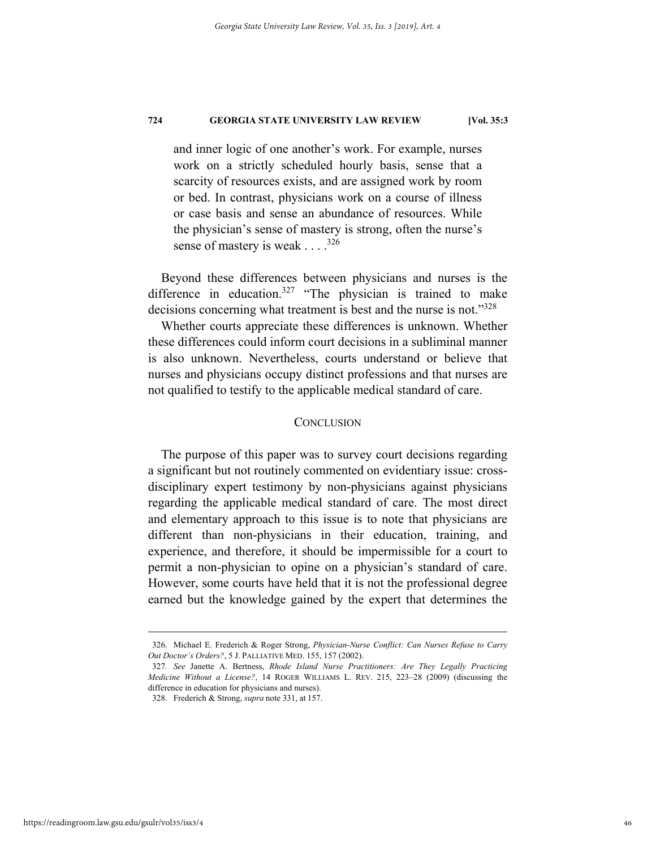and inner logic of one another's work. For example, nurses work on a strictly scheduled hourly basis, sense that a scarcity of resources exists, and are assigned work by room or bed. In contrast, physicians work on a course of illness or case basis and sense an abundance of resources. While the physician's sense of mastery is strong, often the nurse's sense of mastery is weak  $\ldots$ .<sup>326</sup>

Beyond these differences between physicians and nurses is the difference in education.<sup>327</sup> "The physician is trained to make decisions concerning what treatment is best and the nurse is not."<sup>328</sup>

Whether courts appreciate these differences is unknown. Whether these differences could inform court decisions in a subliminal manner is also unknown. Nevertheless, courts understand or believe that nurses and physicians occupy distinct professions and that nurses are not qualified to testify to the applicable medical standard of care.

#### **CONCLUSION**

The purpose of this paper was to survey court decisions regarding a significant but not routinely commented on evidentiary issue: crossdisciplinary expert testimony by non-physicians against physicians regarding the applicable medical standard of care. The most direct and elementary approach to this issue is to note that physicians are different than non-physicians in their education, training, and experience, and therefore, it should be impermissible for a court to permit a non-physician to opine on a physician's standard of care. However, some courts have held that it is not the professional degree earned but the knowledge gained by the expert that determines the

 <sup>326.</sup> Michael E. Frederich & Roger Strong, *Physician-Nurse Conflict: Can Nurses Refuse to Carry Out Doctor's Orders?*, 5 J. PALLIATIVE MED. 155, 157 (2002).

<sup>327</sup>*. See* Janette A. Bertness, *Rhode Island Nurse Practitioners: Are They Legally Practicing Medicine Without a License?*, 14 ROGER WILLIAMS L. REV. 215, 223–28 (2009) (discussing the difference in education for physicians and nurses).

 <sup>328.</sup> Frederich & Strong, *supra* note 331, at 157.